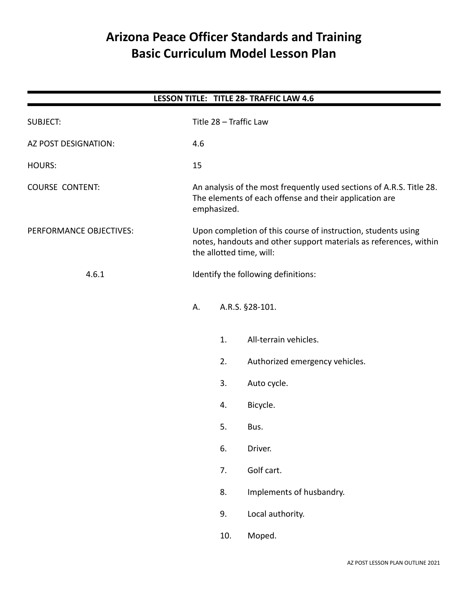# **Arizona Peace Officer Standards and Training Basic Curriculum Model Lesson Plan**

| LESSON TITLE: TITLE 28- TRAFFIC LAW 4.6 |  |                        |                                                                                                                                                                |                                     |  |  |
|-----------------------------------------|--|------------------------|----------------------------------------------------------------------------------------------------------------------------------------------------------------|-------------------------------------|--|--|
| <b>SUBJECT:</b>                         |  | Title 28 - Traffic Law |                                                                                                                                                                |                                     |  |  |
| AZ POST DESIGNATION:                    |  | 4.6                    |                                                                                                                                                                |                                     |  |  |
| <b>HOURS:</b>                           |  |                        | 15                                                                                                                                                             |                                     |  |  |
| <b>COURSE CONTENT:</b>                  |  |                        | An analysis of the most frequently used sections of A.R.S. Title 28.<br>The elements of each offense and their application are<br>emphasized.                  |                                     |  |  |
| PERFORMANCE OBJECTIVES:                 |  |                        | Upon completion of this course of instruction, students using<br>notes, handouts and other support materials as references, within<br>the allotted time, will: |                                     |  |  |
| 4.6.1                                   |  |                        |                                                                                                                                                                | Identify the following definitions: |  |  |
|                                         |  | А.                     |                                                                                                                                                                | A.R.S. §28-101.                     |  |  |
|                                         |  |                        | 1.                                                                                                                                                             | All-terrain vehicles.               |  |  |
|                                         |  |                        | 2.                                                                                                                                                             | Authorized emergency vehicles.      |  |  |
|                                         |  |                        | 3.                                                                                                                                                             | Auto cycle.                         |  |  |
|                                         |  |                        | 4.                                                                                                                                                             | Bicycle.                            |  |  |
|                                         |  |                        | 5.                                                                                                                                                             | Bus.                                |  |  |
|                                         |  |                        | 6.                                                                                                                                                             | Driver.                             |  |  |
|                                         |  |                        | 7.                                                                                                                                                             | Golf cart.                          |  |  |
|                                         |  |                        | 8.                                                                                                                                                             | Implements of husbandry.            |  |  |
|                                         |  |                        | 9.                                                                                                                                                             | Local authority.                    |  |  |
|                                         |  |                        | 10.                                                                                                                                                            | Moped.                              |  |  |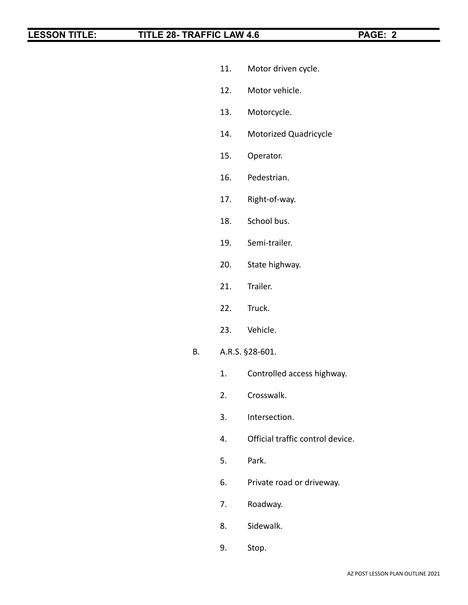- 11. Motor driven cycle.
- 12. Motor vehicle.
- 13. Motorcycle.
- 14. Motorized Quadricycle
- 15. Operator.
- 16. Pedestrian.
- 17. Right-of-way.
- 18. School bus.
- 19. Semi-trailer.
- 20. State highway.
- 21. Trailer.
- 22. Truck.
- 23. Vehicle.
- B. A.R.S. §28-601.
	- 1. Controlled access highway.
	- 2. Crosswalk.
	- 3. Intersection.
	- 4. Official traffic control device.
	- 5. Park.
	- 6. Private road or driveway.
	- 7. Roadway.
	- 8. Sidewalk.
	- 9. Stop.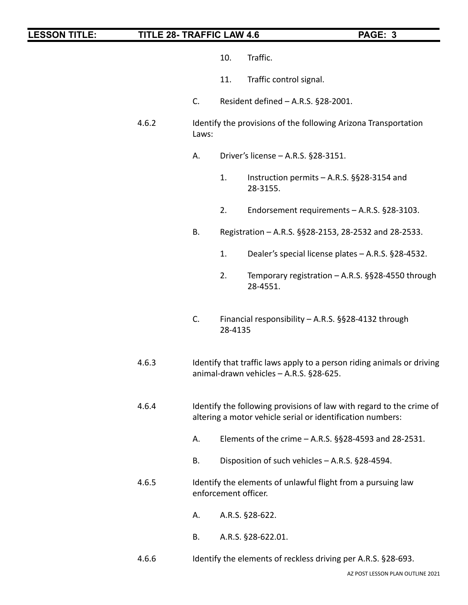- 10. Traffic.
- 11. Traffic control signal.
- C. Resident defined A.R.S. §28-2001.
- 4.6.2 Identify the provisions of the following Arizona Transportation Laws:
	- A. Driver's license A.R.S. §28-3151.
		- 1. Instruction permits A.R.S. §§28-3154 and 28-3155.
		- 2. Endorsement requirements A.R.S. §28-3103.
	- B. Registration A.R.S. §§28-2153, 28-2532 and 28-2533.
		- 1. Dealer's special license plates A.R.S. §28-4532.
		- 2. Temporary registration A.R.S. §§28-4550 through 28-4551.
	- C. Financial responsibility A.R.S. §§28-4132 through 28-4135
- 4.6.3 Identify that traffic laws apply to a person riding animals or driving animal-drawn vehicles – A.R.S. §28-625.
- 4.6.4 Identify the following provisions of law with regard to the crime of altering a motor vehicle serial or identification numbers:
	- A. Elements of the crime A.R.S. §§28-4593 and 28-2531.
	- B. Disposition of such vehicles A.R.S. §28-4594.
- 4.6.5 Identify the elements of unlawful flight from a pursuing law enforcement officer.
	- A. A.R.S. §28-622.
	- B. A.R.S. §28-622.01.
- 4.6.6 Identify the elements of reckless driving per A.R.S. §28-693.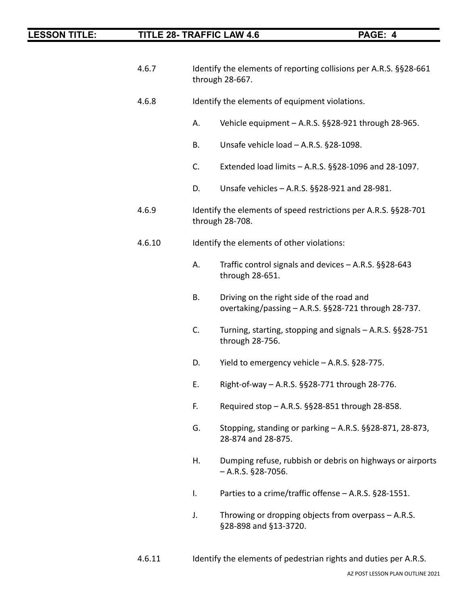| 4.6.7  | Identify the elements of reporting collisions per A.R.S. §§28-661<br>through 28-667. |                                                                                                   |  |
|--------|--------------------------------------------------------------------------------------|---------------------------------------------------------------------------------------------------|--|
| 4.6.8  |                                                                                      | Identify the elements of equipment violations.                                                    |  |
|        | А.                                                                                   | Vehicle equipment - A.R.S. §§28-921 through 28-965.                                               |  |
|        | Β.                                                                                   | Unsafe vehicle load - A.R.S. §28-1098.                                                            |  |
|        | C.                                                                                   | Extended load limits - A.R.S. §§28-1096 and 28-1097.                                              |  |
|        | D.                                                                                   | Unsafe vehicles - A.R.S. §§28-921 and 28-981.                                                     |  |
| 4.6.9  |                                                                                      | Identify the elements of speed restrictions per A.R.S. §§28-701<br>through 28-708.                |  |
| 4.6.10 |                                                                                      | Identify the elements of other violations:                                                        |  |
|        | А.                                                                                   | Traffic control signals and devices - A.R.S. §§28-643<br>through 28-651.                          |  |
|        | В.                                                                                   | Driving on the right side of the road and<br>overtaking/passing - A.R.S. §§28-721 through 28-737. |  |
|        | C.                                                                                   | Turning, starting, stopping and signals - A.R.S. §§28-751<br>through 28-756.                      |  |
|        | D.                                                                                   | Yield to emergency vehicle - A.R.S. §28-775.                                                      |  |
|        | Е.                                                                                   | Right-of-way - A.R.S. §§28-771 through 28-776.                                                    |  |
|        | F.                                                                                   | Required stop - A.R.S. §§28-851 through 28-858                                                    |  |
|        | G.                                                                                   | Stopping, standing or parking - A.R.S. §§28-871, 28-873,<br>28-874 and 28-875.                    |  |
|        | Η.                                                                                   | Dumping refuse, rubbish or debris on highways or airports<br>$-$ A.R.S. §28-7056.                 |  |
|        | I.                                                                                   | Parties to a crime/traffic offense - A.R.S. §28-1551.                                             |  |
|        | J.                                                                                   | Throwing or dropping objects from overpass - A.R.S.<br>§28-898 and §13-3720.                      |  |
|        |                                                                                      |                                                                                                   |  |

4.6.11 Identify the elements of pedestrian rights and duties per A.R.S.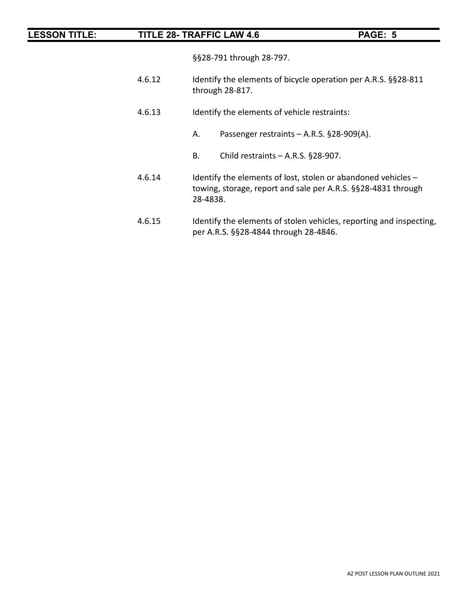|  | <b>ESSON TITLE:</b><br><b>TITLE 28-TR</b> |
|--|-------------------------------------------|
|--|-------------------------------------------|

§§28-791 through 28-797.

- 4.6.12 Identify the elements of bicycle operation per A.R.S. §§28-811 through 28-817.
- 4.6.13 Identify the elements of vehicle restraints:
	- A. Passenger restraints A.R.S. §28-909(A).
	- B. Child restraints A.R.S. §28-907.
- 4.6.14 Identify the elements of lost, stolen or abandoned vehicles towing, storage, report and sale per A.R.S. §§28-4831 through 28-4838.
- 4.6.15 Identify the elements of stolen vehicles, reporting and inspecting, per A.R.S. §§28-4844 through 28-4846.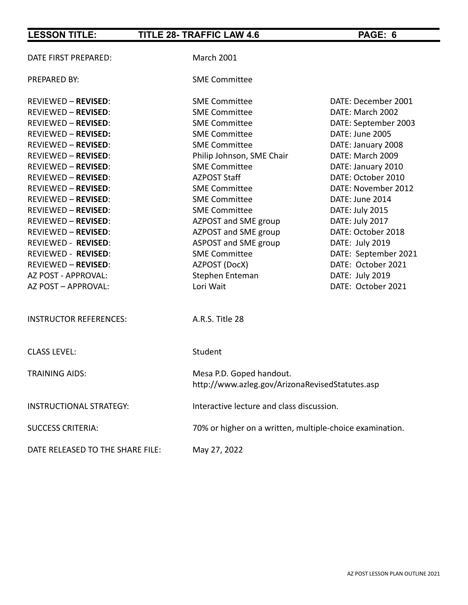| DATE FIRST PREPARED:             | <b>March 2001</b>                                                           |                      |
|----------------------------------|-----------------------------------------------------------------------------|----------------------|
| PREPARED BY:                     | <b>SME Committee</b>                                                        |                      |
| <b>REVIEWED - REVISED:</b>       | <b>SME Committee</b>                                                        | DATE: December 2001  |
| <b>REVIEWED - REVISED:</b>       | <b>SME Committee</b>                                                        | DATE: March 2002     |
| <b>REVIEWED - REVISED:</b>       | <b>SME Committee</b>                                                        | DATE: September 2003 |
| <b>REVIEWED - REVISED:</b>       | <b>SME Committee</b>                                                        | DATE: June 2005      |
| <b>REVIEWED - REVISED:</b>       | <b>SME Committee</b>                                                        | DATE: January 2008   |
| <b>REVIEWED - REVISED:</b>       | Philip Johnson, SME Chair                                                   | DATE: March 2009     |
| <b>REVIEWED - REVISED:</b>       | <b>SME Committee</b>                                                        | DATE: January 2010   |
| <b>REVIEWED - REVISED:</b>       | <b>AZPOST Staff</b>                                                         | DATE: October 2010   |
| <b>REVIEWED - REVISED:</b>       | <b>SME Committee</b>                                                        | DATE: November 2012  |
| <b>REVIEWED - REVISED:</b>       | <b>SME Committee</b>                                                        | DATE: June 2014      |
| <b>REVIEWED - REVISED:</b>       | <b>SME Committee</b>                                                        | DATE: July 2015      |
| <b>REVIEWED - REVISED:</b>       | AZPOST and SME group                                                        | DATE: July 2017      |
| <b>REVIEWED - REVISED:</b>       | AZPOST and SME group                                                        | DATE: October 2018   |
| REVIEWED - REVISED:              | ASPOST and SME group                                                        | DATE: July 2019      |
| <b>REVIEWED - REVISED:</b>       | <b>SME Committee</b>                                                        | DATE: September 2021 |
| <b>REVIEWED - REVISED:</b>       | AZPOST (DocX)                                                               | DATE: October 2021   |
| AZ POST - APPROVAL:              | Stephen Enteman                                                             | DATE: July 2019      |
| AZ POST - APPROVAL:              | Lori Wait                                                                   | DATE: October 2021   |
| <b>INSTRUCTOR REFERENCES:</b>    | A.R.S. Title 28                                                             |                      |
| <b>CLASS LEVEL:</b>              | Student                                                                     |                      |
| <b>TRAINING AIDS:</b>            | Mesa P.D. Goped handout.<br>http://www.azleg.gov/ArizonaRevisedStatutes.asp |                      |
| <b>INSTRUCTIONAL STRATEGY:</b>   | Interactive lecture and class discussion.                                   |                      |
| <b>SUCCESS CRITERIA:</b>         | 70% or higher on a written, multiple-choice examination.                    |                      |
| DATE RELEASED TO THE SHARE FILE: | May 27, 2022                                                                |                      |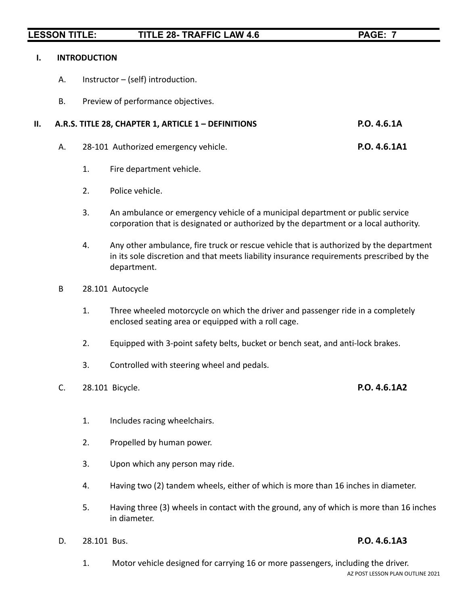### **I. INTRODUCTION**

- A. Instructor (self) introduction.
- B. Preview of performance objectives.

## **II. A.R.S. TITLE 28, CHAPTER 1, ARTICLE 1 – DEFINITIONS P.O. 4.6.1A**

- A. 28-101 Authorized emergency vehicle. **P.O. 4.6.1A1**
	- 1. Fire department vehicle.
	- 2. Police vehicle.
	- 3. An ambulance or emergency vehicle of a municipal department or public service corporation that is designated or authorized by the department or a local authority.
	- 4. Any other ambulance, fire truck or rescue vehicle that is authorized by the department in its sole discretion and that meets liability insurance requirements prescribed by the department.
- B 28.101 Autocycle
	- 1. Three wheeled motorcycle on which the driver and passenger ride in a completely enclosed seating area or equipped with a roll cage.
	- 2. Equipped with 3-point safety belts, bucket or bench seat, and anti-lock brakes.
	- 3. Controlled with steering wheel and pedals.
- C. 28.101 Bicycle. **P.O. 4.6.1A2**

- 1. Includes racing wheelchairs.
- 2. Propelled by human power.
- 3. Upon which any person may ride.
- 4. Having two (2) tandem wheels, either of which is more than 16 inches in diameter.
- 5. Having three (3) wheels in contact with the ground, any of which is more than 16 inches in diameter.
- D. 28.101 Bus. **P.O. 4.6.1A3**

1. Motor vehicle designed for carrying 16 or more passengers, including the driver. AZ POST LESSON PLAN OUTLINE 2021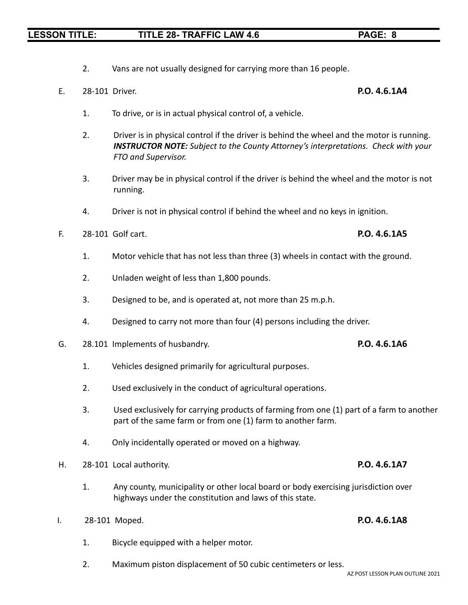- 2. Vans are not usually designed for carrying more than 16 people.
- E. 28-101 Driver. **P.O. 4.6.1A4**

- 1. To drive, or is in actual physical control of, a vehicle.
- 2. Driver is in physical control if the driver is behind the wheel and the motor is running. *INSTRUCTOR NOTE: Subject to the County Attorney's interpretations. Check with your FTO and Supervisor.*
- 3. Driver may be in physical control if the driver is behind the wheel and the motor is not running.
- 4. Driver is not in physical control if behind the wheel and no keys in ignition.
- F. 28-101 Golf cart. **P.O. 4.6.1A5**
	- 1. Motor vehicle that has not less than three (3) wheels in contact with the ground.
	- 2. Unladen weight of less than 1,800 pounds.
	- 3. Designed to be, and is operated at, not more than 25 m.p.h.
	- 4. Designed to carry not more than four (4) persons including the driver.
- G. 28.101 Implements of husbandry. **P.O. 4.6.1A6**
	- 1. Vehicles designed primarily for agricultural purposes.
	- 2. Used exclusively in the conduct of agricultural operations.
	- 3. Used exclusively for carrying products of farming from one (1) part of a farm to another part of the same farm or from one (1) farm to another farm.
	- 4. Only incidentally operated or moved on a highway.
- H. 28-101 Local authority. **P.O. 4.6.1A7**
	- 1. Any county, municipality or other local board or body exercising jurisdiction over highways under the constitution and laws of this state.
- I. 28-101 Moped. **P.O. 4.6.1A8**
	- 1. Bicycle equipped with a helper motor.
	- 2. Maximum piston displacement of 50 cubic centimeters or less.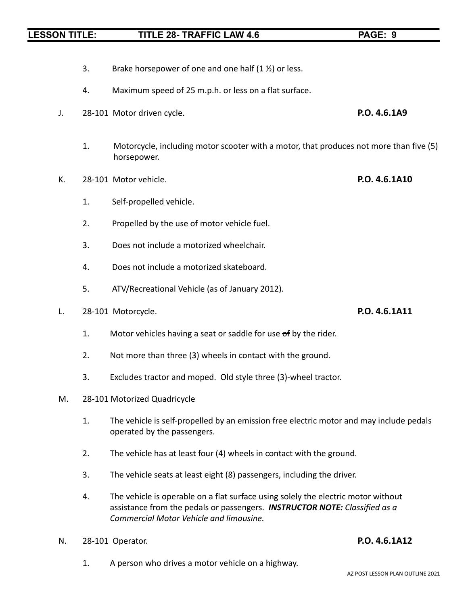- 3. Brake horsepower of one and one half  $(1 \frac{1}{2})$  or less.
- 4. Maximum speed of 25 m.p.h. or less on a flat surface.
- J. 28-101 Motor driven cycle. **P.O. 4.6.1A9**
	- 1. Motorcycle, including motor scooter with a motor, that produces not more than five (5) horsepower.
- K. 28-101 Motor vehicle. **P.O. 4.6.1A10**
	- 1. Self-propelled vehicle.
	- 2. Propelled by the use of motor vehicle fuel.
	- 3. Does not include a motorized wheelchair.
	- 4. Does not include a motorized skateboard.
	- 5. ATV/Recreational Vehicle (as of January 2012).
- L. 28-101 Motorcycle. **P.O. 4.6.1A11**
	- 1. Motor vehicles having a seat or saddle for use of by the rider.
	- 2. Not more than three (3) wheels in contact with the ground.
	- 3. Excludes tractor and moped. Old style three (3)-wheel tractor.
- M. 28-101 Motorized Quadricycle
	- 1. The vehicle is self-propelled by an emission free electric motor and may include pedals operated by the passengers.
	- 2. The vehicle has at least four (4) wheels in contact with the ground.
	- 3. The vehicle seats at least eight (8) passengers, including the driver.
	- 4. The vehicle is operable on a flat surface using solely the electric motor without assistance from the pedals or passengers. *INSTRUCTOR NOTE: Classified as a Commercial Motor Vehicle and limousine.*
- N. 28-101 Operator. **P.O. 4.6.1A12**

1. A person who drives a motor vehicle on a highway.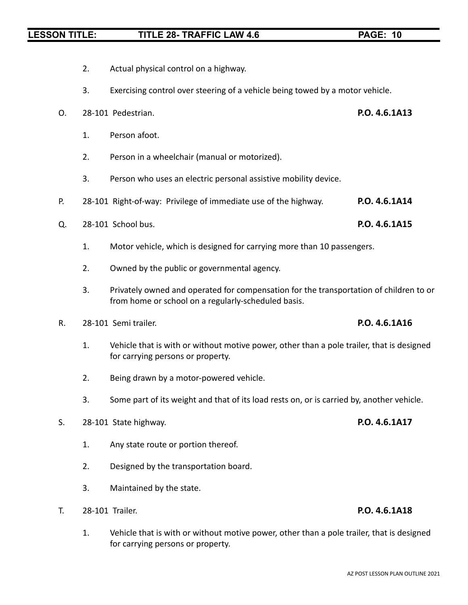- 2. Actual physical control on a highway.
- 3. Exercising control over steering of a vehicle being towed by a motor vehicle.
- O. 28-101 Pedestrian. **P.O. 4.6.1A13**
	- 1. Person afoot.
	- 2. Person in a wheelchair (manual or motorized).
	- 3. Person who uses an electric personal assistive mobility device.
- P. 28-101 Right-of-way: Privilege of immediate use of the highway. **P.O. 4.6.1A14**
- Q. 28-101 School bus. **P.O. 4.6.1A15**
	- 1. Motor vehicle, which is designed for carrying more than 10 passengers.
	- 2. Owned by the public or governmental agency.
	- 3. Privately owned and operated for compensation for the transportation of children to or from home or school on a regularly-scheduled basis.
- R. 28-101 Semi trailer. **P.O. 4.6.1A16**
	- 1. Vehicle that is with or without motive power, other than a pole trailer, that is designed for carrying persons or property.
	- 2. Being drawn by a motor-powered vehicle.
	- 3. Some part of its weight and that of its load rests on, or is carried by, another vehicle.
- S. 28-101 State highway. **P.O. 4.6.1A17**
	- 1. Any state route or portion thereof.
	- 2. Designed by the transportation board.
	- 3. Maintained by the state.
- T. 28-101 Trailer. **P.O. 4.6.1A18**
	- 1. Vehicle that is with or without motive power, other than a pole trailer, that is designed for carrying persons or property.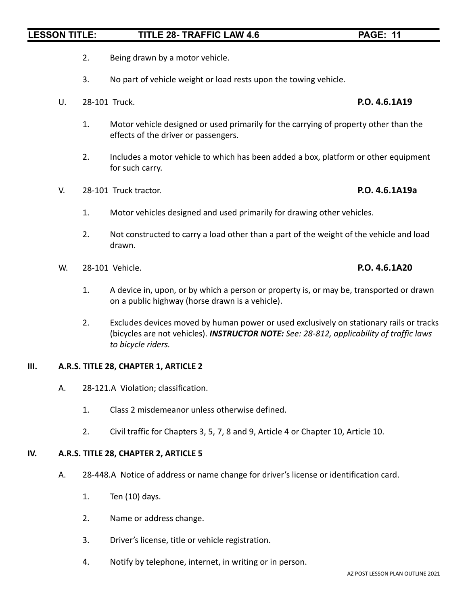- 2. Being drawn by a motor vehicle.
- 3. No part of vehicle weight or load rests upon the towing vehicle.
- U. 28-101 Truck. **P.O. 4.6.1A19**
	- 1. Motor vehicle designed or used primarily for the carrying of property other than the effects of the driver or passengers.
	- 2. Includes a motor vehicle to which has been added a box, platform or other equipment for such carry.
- V. 28-101 Truck tractor. **P.O. 4.6.1A19a**
	- 1. Motor vehicles designed and used primarily for drawing other vehicles.
	- 2. Not constructed to carry a load other than a part of the weight of the vehicle and load drawn.
- W. 28-101 Vehicle. **P.O. 4.6.1A20**
	- 1. A device in, upon, or by which a person or property is, or may be, transported or drawn on a public highway (horse drawn is a vehicle).
	- 2. Excludes devices moved by human power or used exclusively on stationary rails or tracks (bicycles are not vehicles). *INSTRUCTOR NOTE: See: 28-812, applicability of traffic laws to bicycle riders.*

### **III. A.R.S. TITLE 28, CHAPTER 1, ARTICLE 2**

- A. 28-121.A Violation; classification.
	- 1. Class 2 misdemeanor unless otherwise defined.
	- 2. Civil traffic for Chapters 3, 5, 7, 8 and 9, Article 4 or Chapter 10, Article 10.

### **IV. A.R.S. TITLE 28, CHAPTER 2, ARTICLE 5**

- A. 28-448.A Notice of address or name change for driver's license or identification card.
	- 1. Ten (10) days.
	- 2. Name or address change.
	- 3. Driver's license, title or vehicle registration.
	- 4. Notify by telephone, internet, in writing or in person.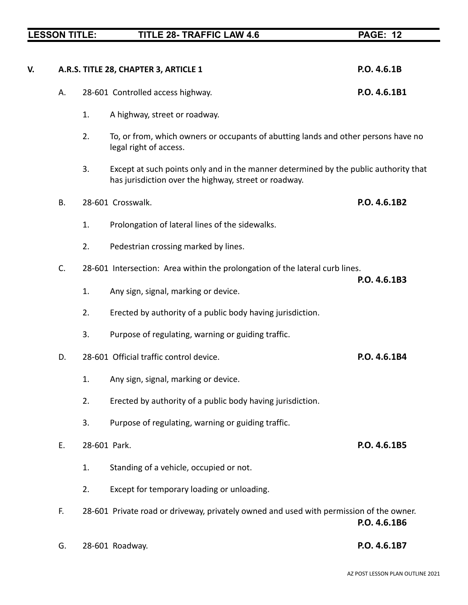|    | <b>LESSON TITLE:</b> |    | <b>TITLE 28- TRAFFIC LAW 4.6</b>                                                                                                              | <b>PAGE: 12</b> |
|----|----------------------|----|-----------------------------------------------------------------------------------------------------------------------------------------------|-----------------|
|    |                      |    |                                                                                                                                               |                 |
| V. |                      |    | A.R.S. TITLE 28, CHAPTER 3, ARTICLE 1                                                                                                         | P.O. 4.6.1B     |
|    | А.                   |    | 28-601 Controlled access highway.                                                                                                             | P.O. 4.6.1B1    |
|    |                      | 1. | A highway, street or roadway.                                                                                                                 |                 |
|    |                      | 2. | To, or from, which owners or occupants of abutting lands and other persons have no<br>legal right of access.                                  |                 |
|    |                      | 3. | Except at such points only and in the manner determined by the public authority that<br>has jurisdiction over the highway, street or roadway. |                 |
|    | <b>B.</b>            |    | 28-601 Crosswalk.                                                                                                                             | P.O. 4.6.1B2    |
|    |                      | 1. | Prolongation of lateral lines of the sidewalks.                                                                                               |                 |
|    |                      | 2. | Pedestrian crossing marked by lines.                                                                                                          |                 |
|    | C.                   |    | 28-601 Intersection: Area within the prolongation of the lateral curb lines.                                                                  | P.O. 4.6.1B3    |
|    |                      | 1. | Any sign, signal, marking or device.                                                                                                          |                 |
|    |                      | 2. | Erected by authority of a public body having jurisdiction.                                                                                    |                 |
|    |                      | 3. | Purpose of regulating, warning or guiding traffic.                                                                                            |                 |
|    | D.                   |    | 28-601 Official traffic control device.                                                                                                       | P.O. 4.6.1B4    |
|    |                      | 1. | Any sign, signal, marking or device.                                                                                                          |                 |
|    |                      | 2. | Erected by authority of a public body having jurisdiction.                                                                                    |                 |
|    |                      | 3. | Purpose of regulating, warning or guiding traffic.                                                                                            |                 |
|    | E.                   |    | 28-601 Park.                                                                                                                                  | P.O. 4.6.1B5    |
|    |                      | 1. | Standing of a vehicle, occupied or not.                                                                                                       |                 |
|    |                      | 2. | Except for temporary loading or unloading.                                                                                                    |                 |
|    | F.                   |    | 28-601 Private road or driveway, privately owned and used with permission of the owner.                                                       | P.O. 4.6.1B6    |
|    | G.                   |    | 28-601 Roadway.                                                                                                                               | P.O. 4.6.1B7    |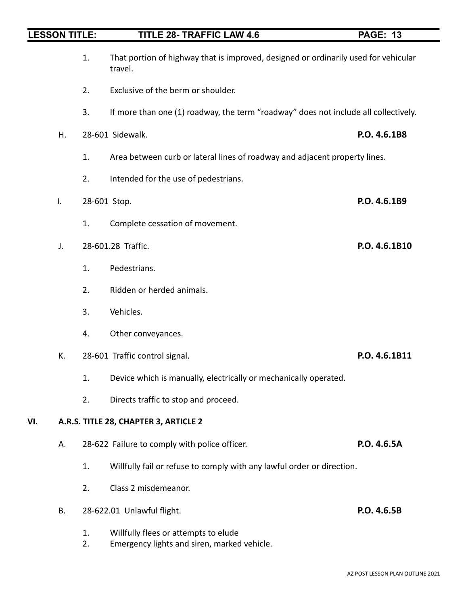| <b>LESSON TITLE:</b> |    |              | <b>TITLE 28- TRAFFIC LAW 4.6</b>                                                               | <b>PAGE: 13</b> |
|----------------------|----|--------------|------------------------------------------------------------------------------------------------|-----------------|
|                      |    | 1.           | That portion of highway that is improved, designed or ordinarily used for vehicular<br>travel. |                 |
|                      |    | 2.           | Exclusive of the berm or shoulder.                                                             |                 |
|                      |    | 3.           | If more than one (1) roadway, the term "roadway" does not include all collectively.            |                 |
|                      | Η. |              | 28-601 Sidewalk.                                                                               | P.O. 4.6.1B8    |
|                      |    | 1.           | Area between curb or lateral lines of roadway and adjacent property lines.                     |                 |
|                      |    | 2.           | Intended for the use of pedestrians.                                                           |                 |
|                      | I. | 28-601 Stop. |                                                                                                | P.O. 4.6.1B9    |
|                      |    | 1.           | Complete cessation of movement.                                                                |                 |
|                      | J. |              | 28-601.28 Traffic.                                                                             | P.O. 4.6.1B10   |
|                      |    | 1.           | Pedestrians.                                                                                   |                 |
|                      |    | 2.           | Ridden or herded animals.                                                                      |                 |
|                      |    | 3.           | Vehicles.                                                                                      |                 |
|                      |    | 4.           | Other conveyances.                                                                             |                 |
|                      | К. |              | 28-601 Traffic control signal.                                                                 | P.O. 4.6.1B11   |
|                      |    | 1.           | Device which is manually, electrically or mechanically operated.                               |                 |
|                      |    | 2.           | Directs traffic to stop and proceed.                                                           |                 |
| VI.                  |    |              | A.R.S. TITLE 28, CHAPTER 3, ARTICLE 2                                                          |                 |
|                      | А. |              | 28-622 Failure to comply with police officer.                                                  | P.O. 4.6.5A     |
|                      |    | 1.           | Willfully fail or refuse to comply with any lawful order or direction.                         |                 |
|                      |    | 2.           | Class 2 misdemeanor.                                                                           |                 |
|                      | В. |              | 28-622.01 Unlawful flight.                                                                     | P.O. 4.6.5B     |
|                      |    | 1.<br>2.     | Willfully flees or attempts to elude<br>Emergency lights and siren, marked vehicle.            |                 |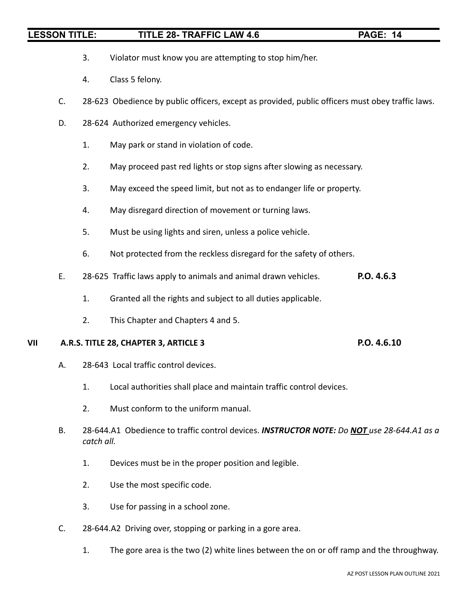- 3. Violator must know you are attempting to stop him/her.
- 4. Class 5 felony.
- C. 28-623 Obedience by public officers, except as provided, public officers must obey traffic laws.
- D. 28-624 Authorized emergency vehicles.
	- 1. May park or stand in violation of code.
	- 2. May proceed past red lights or stop signs after slowing as necessary.
	- 3. May exceed the speed limit, but not as to endanger life or property.
	- 4. May disregard direction of movement or turning laws.
	- 5. Must be using lights and siren, unless a police vehicle.
	- 6. Not protected from the reckless disregard for the safety of others.
- E. 28-625 Traffic laws apply to animals and animal drawn vehicles. **P.O. 4.6.3**
	- 1. Granted all the rights and subject to all duties applicable.
	- 2. This Chapter and Chapters 4 and 5.

### **VII A.R.S. TITLE 28, CHAPTER 3, ARTICLE 3 P.O. 4.6.10**

- A. 28-643 Local traffic control devices.
	- 1. Local authorities shall place and maintain traffic control devices.
	- 2. Must conform to the uniform manual.
- B. 28-644.A1 Obedience to traffic control devices. *INSTRUCTOR NOTE: Do NOT use 28-644.A1 as a catch all.*
	- 1. Devices must be in the proper position and legible.
	- 2. Use the most specific code.
	- 3. Use for passing in a school zone.
- C. 28-644.A2 Driving over, stopping or parking in a gore area.
	- 1. The gore area is the two (2) white lines between the on or off ramp and the throughway.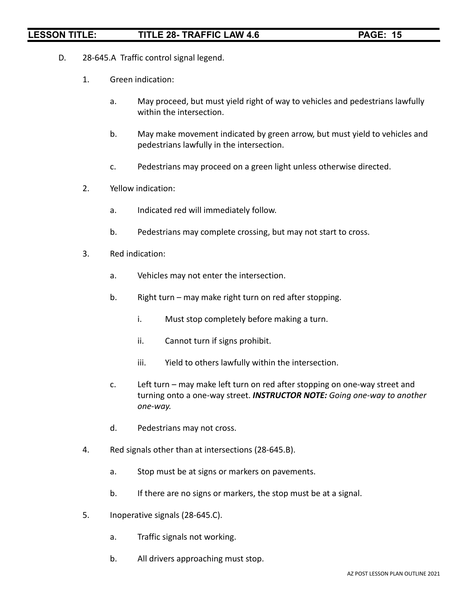- D. 28-645.A Traffic control signal legend.
	- 1. Green indication:
		- a. May proceed, but must yield right of way to vehicles and pedestrians lawfully within the intersection.
		- b. May make movement indicated by green arrow, but must yield to vehicles and pedestrians lawfully in the intersection.
		- c. Pedestrians may proceed on a green light unless otherwise directed.
	- 2. Yellow indication:
		- a. Indicated red will immediately follow.
		- b. Pedestrians may complete crossing, but may not start to cross.
	- 3. Red indication:
		- a. Vehicles may not enter the intersection.
		- b. Right turn may make right turn on red after stopping.
			- i. Must stop completely before making a turn.
			- ii. Cannot turn if signs prohibit.
			- iii. Yield to others lawfully within the intersection.
		- c. Left turn may make left turn on red after stopping on one-way street and turning onto a one-way street. *INSTRUCTOR NOTE: Going one-way to another one-way.*
		- d. Pedestrians may not cross.
	- 4. Red signals other than at intersections (28-645.B).
		- a. Stop must be at signs or markers on pavements.
		- b. If there are no signs or markers, the stop must be at a signal.
	- 5. Inoperative signals (28-645.C).
		- a. Traffic signals not working.
		- b. All drivers approaching must stop.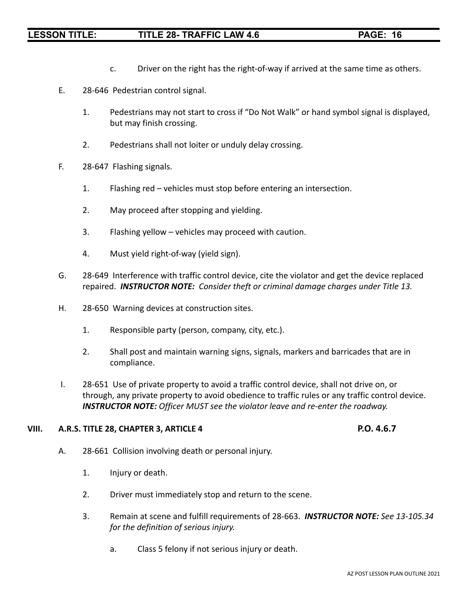- c. Driver on the right has the right-of-way if arrived at the same time as others.
- E. 28-646 Pedestrian control signal.
	- 1. Pedestrians may not start to cross if "Do Not Walk" or hand symbol signal is displayed, but may finish crossing.
	- 2. Pedestrians shall not loiter or unduly delay crossing.
- F. 28-647 Flashing signals.
	- 1. Flashing red vehicles must stop before entering an intersection.
	- 2. May proceed after stopping and yielding.
	- 3. Flashing yellow vehicles may proceed with caution.
	- 4. Must yield right-of-way (yield sign).
- G. 28-649 Interference with traffic control device, cite the violator and get the device replaced repaired. *INSTRUCTOR NOTE: Consider theft or criminal damage charges under Title 13.*
- H. 28-650 Warning devices at construction sites.
	- 1. Responsible party (person, company, city, etc.).
	- 2. Shall post and maintain warning signs, signals, markers and barricades that are in compliance.
- I. 28-651 Use of private property to avoid a traffic control device, shall not drive on, or through, any private property to avoid obedience to traffic rules or any traffic control device. *INSTRUCTOR NOTE: Officer MUST see the violator leave and re-enter the roadway.*

## **VIII. A.R.S. TITLE 28, CHAPTER 3, ARTICLE 4 P.O. 4.6.7**

- A. 28-661 Collision involving death or personal injury.
	- 1. Injury or death.
	- 2. Driver must immediately stop and return to the scene.
	- 3. Remain at scene and fulfill requirements of 28-663. *INSTRUCTOR NOTE: See 13-105.34 for the definition of serious injury.*
		- a. Class 5 felony if not serious injury or death.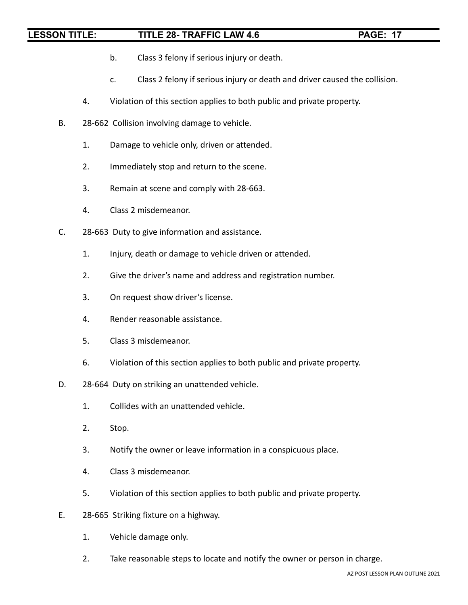- b. Class 3 felony if serious injury or death.
- c. Class 2 felony if serious injury or death and driver caused the collision.
- 4. Violation of this section applies to both public and private property.
- B. 28-662 Collision involving damage to vehicle.
	- 1. Damage to vehicle only, driven or attended.
	- 2. Immediately stop and return to the scene.
	- 3. Remain at scene and comply with 28-663.
	- 4. Class 2 misdemeanor.
- C. 28-663 Duty to give information and assistance.
	- 1. Injury, death or damage to vehicle driven or attended.
	- 2. Give the driver's name and address and registration number.
	- 3. On request show driver's license.
	- 4. Render reasonable assistance.
	- 5. Class 3 misdemeanor.
	- 6. Violation of this section applies to both public and private property.
- D. 28-664 Duty on striking an unattended vehicle.
	- 1. Collides with an unattended vehicle.
	- 2. Stop.
	- 3. Notify the owner or leave information in a conspicuous place.
	- 4. Class 3 misdemeanor.
	- 5. Violation of this section applies to both public and private property.
- E. 28-665 Striking fixture on a highway.
	- 1. Vehicle damage only.
	- 2. Take reasonable steps to locate and notify the owner or person in charge.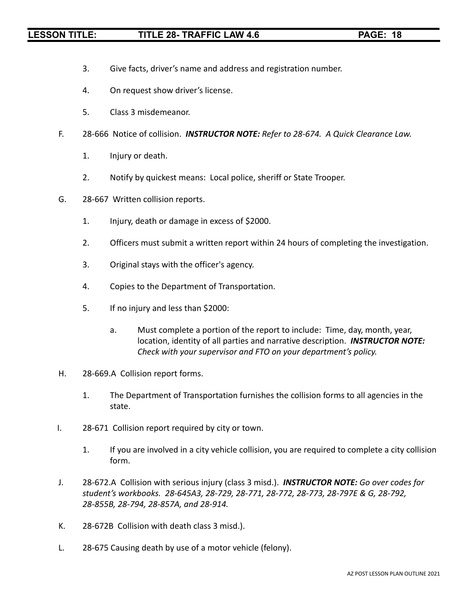- 3. Give facts, driver's name and address and registration number.
- 4. On request show driver's license.
- 5. Class 3 misdemeanor.
- F. 28-666 Notice of collision. *INSTRUCTOR NOTE: Refer to 28-674. A Quick Clearance Law.*
	- 1. Injury or death.
	- 2. Notify by quickest means: Local police, sheriff or State Trooper.
- G. 28-667 Written collision reports.
	- 1. Injury, death or damage in excess of \$2000.
	- 2. Officers must submit a written report within 24 hours of completing the investigation.
	- 3. Original stays with the officer's agency.
	- 4. Copies to the Department of Transportation.
	- 5. If no injury and less than \$2000:
		- a. Must complete a portion of the report to include: Time, day, month, year, location, identity of all parties and narrative description. *INSTRUCTOR NOTE: Check with your supervisor and FTO on your department's policy.*
- H. 28-669.A Collision report forms.
	- 1. The Department of Transportation furnishes the collision forms to all agencies in the state.
- I. 28-671 Collision report required by city or town.
	- 1. If you are involved in a city vehicle collision, you are required to complete a city collision form.
- J. 28-672.A Collision with serious injury (class 3 misd.). *INSTRUCTOR NOTE: Go over codes for student's workbooks. 28-645A3, 28-729, 28-771, 28-772, 28-773, 28-797E & G, 28-792, 28-855B, 28-794, 28-857A, and 28-914.*
- K. 28-672B Collision with death class 3 misd.).
- L. 28-675 Causing death by use of a motor vehicle (felony).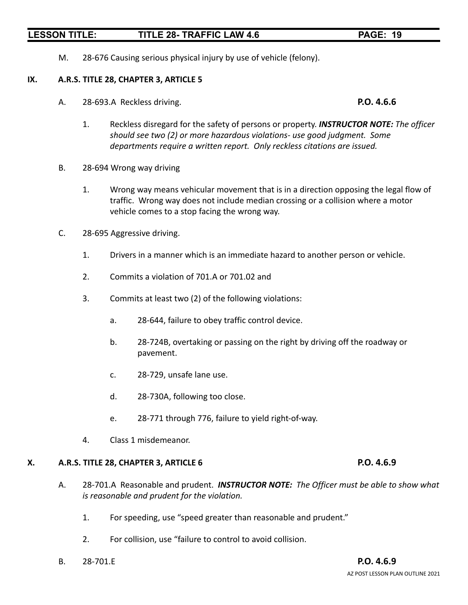M. 28-676 Causing serious physical injury by use of vehicle (felony).

### **IX. A.R.S. TITLE 28, CHAPTER 3, ARTICLE 5**

A. 28-693.A Reckless driving. **P.O. 4.6.6**

- 1. Reckless disregard for the safety of persons or property. *INSTRUCTOR NOTE: The officer should see two (2) or more hazardous violations- use good judgment. Some departments require a written report. Only reckless citations are issued.*
- B. 28-694 Wrong way driving
	- 1. Wrong way means vehicular movement that is in a direction opposing the legal flow of traffic. Wrong way does not include median crossing or a collision where a motor vehicle comes to a stop facing the wrong way.
- C. 28-695 Aggressive driving.
	- 1. Drivers in a manner which is an immediate hazard to another person or vehicle.
	- 2. Commits a violation of 701.A or 701.02 and
	- 3. Commits at least two (2) of the following violations:
		- a. 28-644, failure to obey traffic control device.
		- b. 28-724B, overtaking or passing on the right by driving off the roadway or pavement.
		- c. 28-729, unsafe lane use.
		- d. 28-730A, following too close.
		- e. 28-771 through 776, failure to yield right-of-way.
	- 4. Class 1 misdemeanor.

### **X. A.R.S. TITLE 28, CHAPTER 3, ARTICLE 6 P.O. 4.6.9**

- A. 28-701.A Reasonable and prudent. *INSTRUCTOR NOTE: The Officer must be able to show what is reasonable and prudent for the violation.*
	- 1. For speeding, use "speed greater than reasonable and prudent."
	- 2. For collision, use "failure to control to avoid collision.
- B. 28-701.E **P.O. 4.6.9**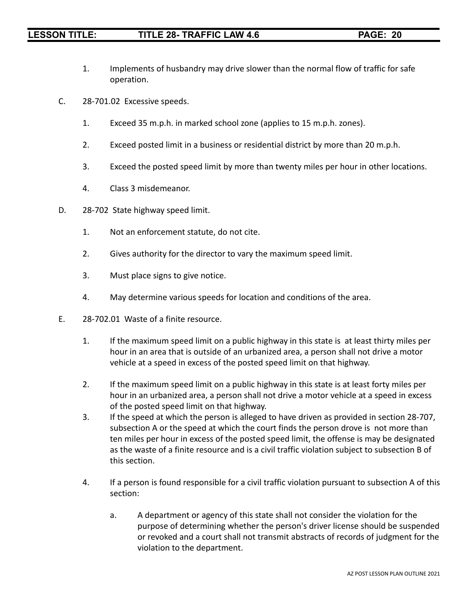- 1. Implements of husbandry may drive slower than the normal flow of traffic for safe operation.
- C. 28-701.02 Excessive speeds.
	- 1. Exceed 35 m.p.h. in marked school zone (applies to 15 m.p.h. zones).
	- 2. Exceed posted limit in a business or residential district by more than 20 m.p.h.
	- 3. Exceed the posted speed limit by more than twenty miles per hour in other locations.
	- 4. Class 3 misdemeanor.
- D. 28-702 State highway speed limit.
	- 1. Not an enforcement statute, do not cite.
	- 2. Gives authority for the director to vary the maximum speed limit.
	- 3. Must place signs to give notice.
	- 4. May determine various speeds for location and conditions of the area.
- E. 28-702.01 Waste of a finite resource.
	- 1. If the maximum speed limit on a public highway in this state is at least thirty miles per hour in an area that is outside of an urbanized area, a person shall not drive a motor vehicle at a speed in excess of the posted speed limit on that highway.
	- 2. If the maximum speed limit on a public highway in this state is at least forty miles per hour in an urbanized area, a person shall not drive a motor vehicle at a speed in excess of the posted speed limit on that highway.
	- 3. If the speed at which the person is alleged to have driven as provided in section 28-707, subsection A or the speed at which the court finds the person drove is not more than ten miles per hour in excess of the posted speed limit, the offense is may be designated as the waste of a finite resource and is a civil traffic violation subject to subsection B of this section.
	- 4. If a person is found responsible for a civil traffic violation pursuant to subsection A of this section:
		- a. A department or agency of this state shall not consider the violation for the purpose of determining whether the person's driver license should be suspended or revoked and a court shall not transmit abstracts of records of judgment for the violation to the department.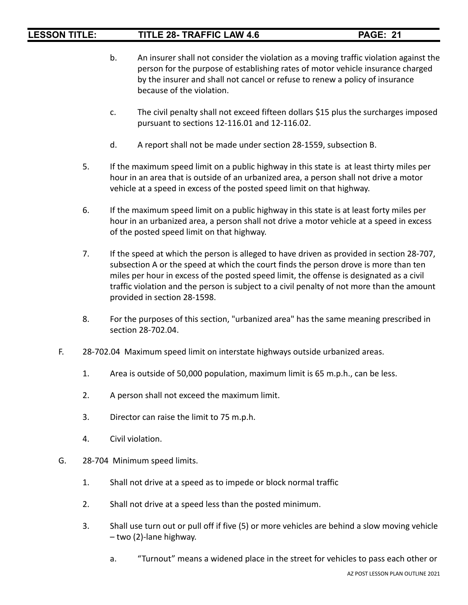- b. An insurer shall not consider the violation as a moving traffic violation against the person for the purpose of establishing rates of motor vehicle insurance charged by the insurer and shall not cancel or refuse to renew a policy of insurance because of the violation.
- c. The civil penalty shall not exceed fifteen dollars \$15 plus the surcharges imposed pursuant to sections 12-116.01 and 12-116.02.
- d. A report shall not be made under section 28-1559, subsection B.
- 5. If the maximum speed limit on a public highway in this state is at least thirty miles per hour in an area that is outside of an urbanized area, a person shall not drive a motor vehicle at a speed in excess of the posted speed limit on that highway.
- 6. If the maximum speed limit on a public highway in this state is at least forty miles per hour in an urbanized area, a person shall not drive a motor vehicle at a speed in excess of the posted speed limit on that highway.
- 7. If the speed at which the person is alleged to have driven as provided in section 28-707, subsection A or the speed at which the court finds the person drove is more than ten miles per hour in excess of the posted speed limit, the offense is designated as a civil traffic violation and the person is subject to a civil penalty of not more than the amount provided in section 28-1598.
- 8. For the purposes of this section, "urbanized area" has the same meaning prescribed in section 28-702.04.
- F. 28-702.04 Maximum speed limit on interstate highways outside urbanized areas.
	- 1. Area is outside of 50,000 population, maximum limit is 65 m.p.h., can be less.
	- 2. A person shall not exceed the maximum limit.
	- 3. Director can raise the limit to 75 m.p.h.
	- 4. Civil violation.
- G. 28-704 Minimum speed limits.
	- 1. Shall not drive at a speed as to impede or block normal traffic
	- 2. Shall not drive at a speed less than the posted minimum.
	- 3. Shall use turn out or pull off if five (5) or more vehicles are behind a slow moving vehicle – two (2)-lane highway.
		- a. "Turnout" means a widened place in the street for vehicles to pass each other or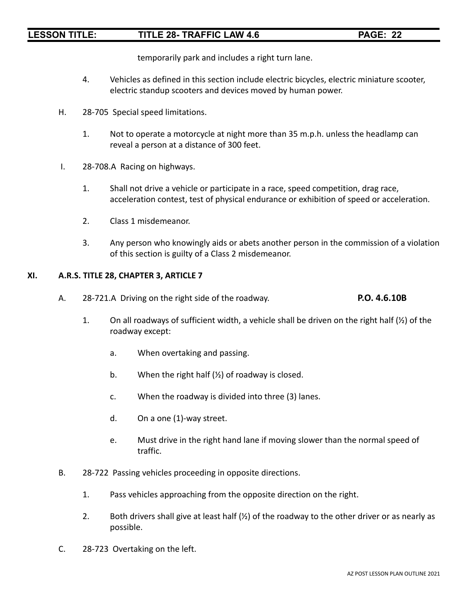temporarily park and includes a right turn lane.

- 4. Vehicles as defined in this section include electric bicycles, electric miniature scooter, electric standup scooters and devices moved by human power.
- H. 28-705 Special speed limitations.
	- 1. Not to operate a motorcycle at night more than 35 m.p.h. unless the headlamp can reveal a person at a distance of 300 feet.
- I. 28-708.A Racing on highways.
	- 1. Shall not drive a vehicle or participate in a race, speed competition, drag race, acceleration contest, test of physical endurance or exhibition of speed or acceleration.
	- 2. Class 1 misdemeanor.
	- 3. Any person who knowingly aids or abets another person in the commission of a violation of this section is guilty of a Class 2 misdemeanor.

### **XI. A.R.S. TITLE 28, CHAPTER 3, ARTICLE 7**

- A. 28-721.A Driving on the right side of the roadway. **P.O. 4.6.10B**
	- 1. On all roadways of sufficient width, a vehicle shall be driven on the right half (½) of the roadway except:
		- a. When overtaking and passing.
		- b. When the right half  $(\frac{1}{2})$  of roadway is closed.
		- c. When the roadway is divided into three (3) lanes.
		- d. On a one (1)-way street.
		- e. Must drive in the right hand lane if moving slower than the normal speed of traffic.
- B. 28-722 Passing vehicles proceeding in opposite directions.
	- 1. Pass vehicles approaching from the opposite direction on the right.
	- 2. Both drivers shall give at least half  $(\frac{1}{2})$  of the roadway to the other driver or as nearly as possible.
- C. 28-723 Overtaking on the left.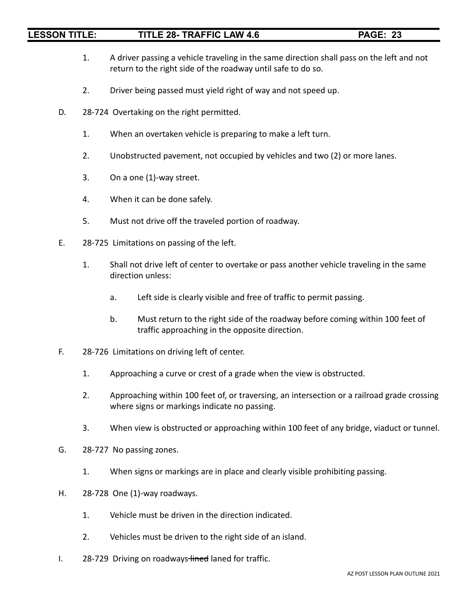- 1. A driver passing a vehicle traveling in the same direction shall pass on the left and not return to the right side of the roadway until safe to do so.
- 2. Driver being passed must yield right of way and not speed up.
- D. 28-724 Overtaking on the right permitted.
	- 1. When an overtaken vehicle is preparing to make a left turn.
	- 2. Unobstructed pavement, not occupied by vehicles and two (2) or more lanes.
	- 3. On a one (1)-way street.
	- 4. When it can be done safely.
	- 5. Must not drive off the traveled portion of roadway.
- E. 28-725 Limitations on passing of the left.
	- 1. Shall not drive left of center to overtake or pass another vehicle traveling in the same direction unless:
		- a. Left side is clearly visible and free of traffic to permit passing.
		- b. Must return to the right side of the roadway before coming within 100 feet of traffic approaching in the opposite direction.
- F. 28-726 Limitations on driving left of center.
	- 1. Approaching a curve or crest of a grade when the view is obstructed.
	- 2. Approaching within 100 feet of, or traversing, an intersection or a railroad grade crossing where signs or markings indicate no passing.
	- 3. When view is obstructed or approaching within 100 feet of any bridge, viaduct or tunnel.
- G. 28-727 No passing zones.
	- 1. When signs or markings are in place and clearly visible prohibiting passing.
- H. 28-728 One (1)-way roadways.
	- 1. Vehicle must be driven in the direction indicated.
	- 2. Vehicles must be driven to the right side of an island.
- I. 28-729 Driving on roadways-lined laned for traffic.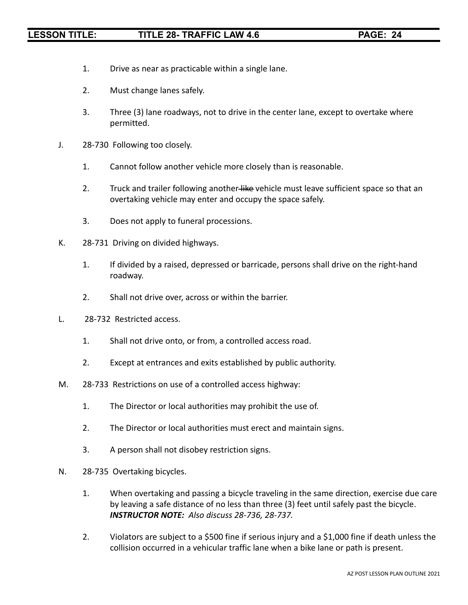- 1. Drive as near as practicable within a single lane.
- 2. Must change lanes safely.
- 3. Three (3) lane roadways, not to drive in the center lane, except to overtake where permitted.
- J. 28-730 Following too closely.
	- 1. Cannot follow another vehicle more closely than is reasonable.
	- 2. Truck and trailer following another-like vehicle must leave sufficient space so that an overtaking vehicle may enter and occupy the space safely.
	- 3. Does not apply to funeral processions.
- K. 28-731 Driving on divided highways.
	- 1. If divided by a raised, depressed or barricade, persons shall drive on the right-hand roadway.
	- 2. Shall not drive over, across or within the barrier.
- L. 28-732 Restricted access.
	- 1. Shall not drive onto, or from, a controlled access road.
	- 2. Except at entrances and exits established by public authority.
- M. 28-733 Restrictions on use of a controlled access highway:
	- 1. The Director or local authorities may prohibit the use of.
	- 2. The Director or local authorities must erect and maintain signs.
	- 3. A person shall not disobey restriction signs.
- N. 28-735 Overtaking bicycles.
	- 1. When overtaking and passing a bicycle traveling in the same direction, exercise due care by leaving a safe distance of no less than three (3) feet until safely past the bicycle. *INSTRUCTOR NOTE: Also discuss 28-736, 28-737.*
	- 2. Violators are subject to a \$500 fine if serious injury and a \$1,000 fine if death unless the collision occurred in a vehicular traffic lane when a bike lane or path is present.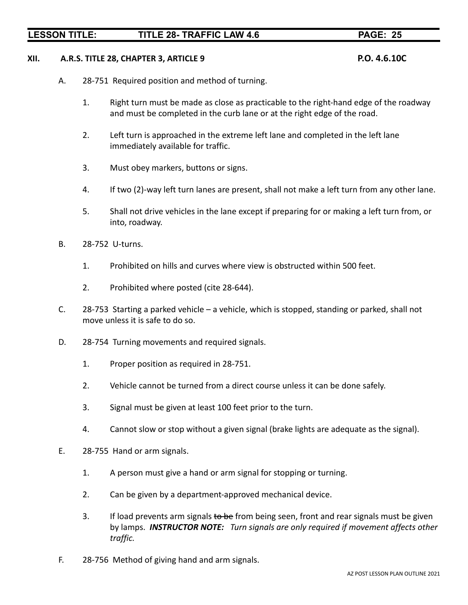### **XII. A.R.S. TITLE 28, CHAPTER 3, ARTICLE 9 P.O. 4.6.10C**

- A. 28-751 Required position and method of turning.
	- 1. Right turn must be made as close as practicable to the right-hand edge of the roadway and must be completed in the curb lane or at the right edge of the road.
	- 2. Left turn is approached in the extreme left lane and completed in the left lane immediately available for traffic.
	- 3. Must obey markers, buttons or signs.
	- 4. If two (2)-way left turn lanes are present, shall not make a left turn from any other lane.
	- 5. Shall not drive vehicles in the lane except if preparing for or making a left turn from, or into, roadway.
- B. 28-752 U-turns.
	- 1. Prohibited on hills and curves where view is obstructed within 500 feet.
	- 2. Prohibited where posted (cite 28-644).
- C. 28-753 Starting a parked vehicle a vehicle, which is stopped, standing or parked, shall not move unless it is safe to do so.
- D. 28-754 Turning movements and required signals.
	- 1. Proper position as required in 28-751.
	- 2. Vehicle cannot be turned from a direct course unless it can be done safely.
	- 3. Signal must be given at least 100 feet prior to the turn.
	- 4. Cannot slow or stop without a given signal (brake lights are adequate as the signal).
- E. 28-755 Hand or arm signals.
	- 1. A person must give a hand or arm signal for stopping or turning.
	- 2. Can be given by a department-approved mechanical device.
	- 3. If load prevents arm signals to be from being seen, front and rear signals must be given by lamps. *INSTRUCTOR NOTE: Turn signals are only required if movement affects other traffic.*
- F. 28-756 Method of giving hand and arm signals.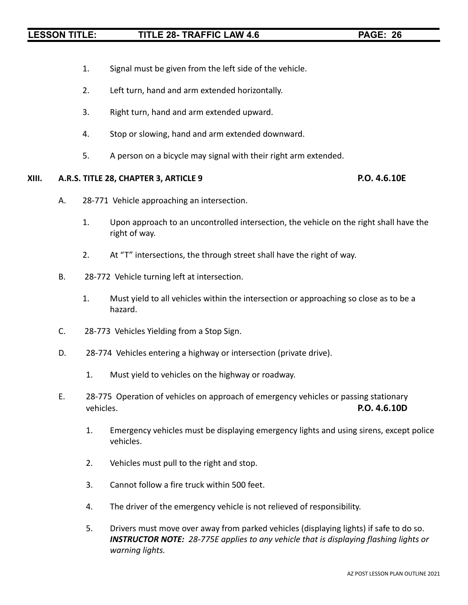- 1. Signal must be given from the left side of the vehicle.
- 2. Left turn, hand and arm extended horizontally.
- 3. Right turn, hand and arm extended upward.
- 4. Stop or slowing, hand and arm extended downward.
- 5. A person on a bicycle may signal with their right arm extended.

### **XIII. A.R.S. TITLE 28, CHAPTER 3, ARTICLE 9 P.O. 4.6.10E**

- A. 28-771 Vehicle approaching an intersection.
	- 1. Upon approach to an uncontrolled intersection, the vehicle on the right shall have the right of way.
	- 2. At "T" intersections, the through street shall have the right of way.
- B. 28-772 Vehicle turning left at intersection.
	- 1. Must yield to all vehicles within the intersection or approaching so close as to be a hazard.
- C. 28-773 Vehicles Yielding from a Stop Sign.
- D. 28-774 Vehicles entering a highway or intersection (private drive).
	- 1. Must yield to vehicles on the highway or roadway.
- E. 28-775 Operation of vehicles on approach of emergency vehicles or passing stationary vehicles. **P.O. 4.6.10D**
	- 1. Emergency vehicles must be displaying emergency lights and using sirens, except police vehicles.
	- 2. Vehicles must pull to the right and stop.
	- 3. Cannot follow a fire truck within 500 feet.
	- 4. The driver of the emergency vehicle is not relieved of responsibility.
	- 5. Drivers must move over away from parked vehicles (displaying lights) if safe to do so. *INSTRUCTOR NOTE: 28-775E applies to any vehicle that is displaying flashing lights or warning lights.*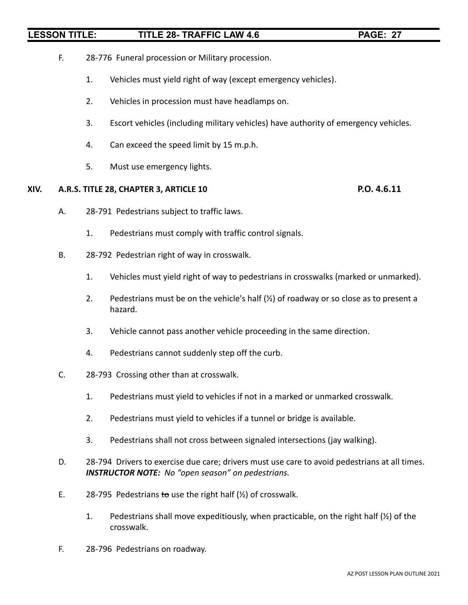- F. 28-776 Funeral procession or Military procession.
	- 1. Vehicles must yield right of way (except emergency vehicles).
	- 2. Vehicles in procession must have headlamps on.
	- 3. Escort vehicles (including military vehicles) have authority of emergency vehicles.
	- 4. Can exceed the speed limit by 15 m.p.h.
	- 5. Must use emergency lights.

### **XIV. A.R.S. TITLE 28, CHAPTER 3, ARTICLE 10 P.O. 4.6.11**

- A. 28-791 Pedestrians subject to traffic laws.
	- 1. Pedestrians must comply with traffic control signals.
- B. 28-792 Pedestrian right of way in crosswalk.
	- 1. Vehicles must yield right of way to pedestrians in crosswalks (marked or unmarked).
	- 2. Pedestrians must be on the vehicle's half  $(\frac{1}{2})$  of roadway or so close as to present a hazard.
	- 3. Vehicle cannot pass another vehicle proceeding in the same direction.
	- 4. Pedestrians cannot suddenly step off the curb.
- C. 28-793 Crossing other than at crosswalk.
	- 1. Pedestrians must yield to vehicles if not in a marked or unmarked crosswalk.
	- 2. Pedestrians must yield to vehicles if a tunnel or bridge is available.
	- 3. Pedestrians shall not cross between signaled intersections (jay walking).
- D. 28-794 Drivers to exercise due care; drivers must use care to avoid pedestrians at all times. *INSTRUCTOR NOTE: No "open season" on pedestrians.*
- E. 28-795 Pedestrians to use the right half  $(\frac{1}{2})$  of crosswalk.
	- 1. Pedestrians shall move expeditiously, when practicable, on the right half (½) of the crosswalk.
- F. 28-796 Pedestrians on roadway.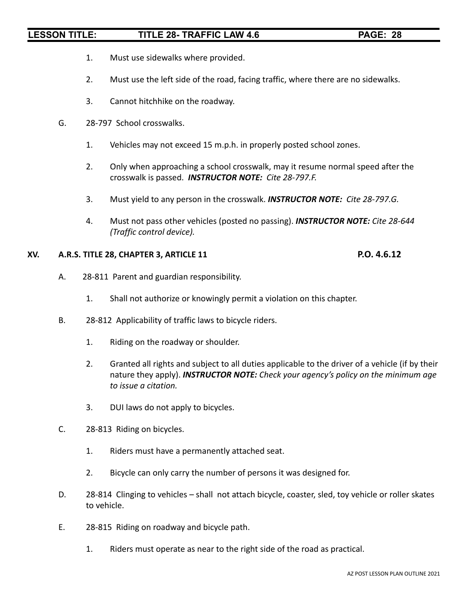- 1. Must use sidewalks where provided.
- 2. Must use the left side of the road, facing traffic, where there are no sidewalks.
- 3. Cannot hitchhike on the roadway.
- G. 28-797 School crosswalks.
	- 1. Vehicles may not exceed 15 m.p.h. in properly posted school zones.
	- 2. Only when approaching a school crosswalk, may it resume normal speed after the crosswalk is passed. *INSTRUCTOR NOTE: Cite 28-797.F.*
	- 3. Must yield to any person in the crosswalk. *INSTRUCTOR NOTE: Cite 28-797.G.*
	- 4. Must not pass other vehicles (posted no passing). *INSTRUCTOR NOTE: Cite 28-644 (Traffic control device).*

### **XV. A.R.S. TITLE 28, CHAPTER 3, ARTICLE 11 P.O. 4.6.12**

- A. 28-811 Parent and guardian responsibility.
	- 1. Shall not authorize or knowingly permit a violation on this chapter.
- B. 28-812 Applicability of traffic laws to bicycle riders.
	- 1. Riding on the roadway or shoulder.
	- 2. Granted all rights and subject to all duties applicable to the driver of a vehicle (if by their nature they apply). *INSTRUCTOR NOTE: Check your agency's policy on the minimum age to issue a citation.*
	- 3. DUI laws do not apply to bicycles.
- C. 28-813 Riding on bicycles.
	- 1. Riders must have a permanently attached seat.
	- 2. Bicycle can only carry the number of persons it was designed for.
- D. 28-814 Clinging to vehicles shall not attach bicycle, coaster, sled, toy vehicle or roller skates to vehicle.
- E. 28-815 Riding on roadway and bicycle path.
	- 1. Riders must operate as near to the right side of the road as practical.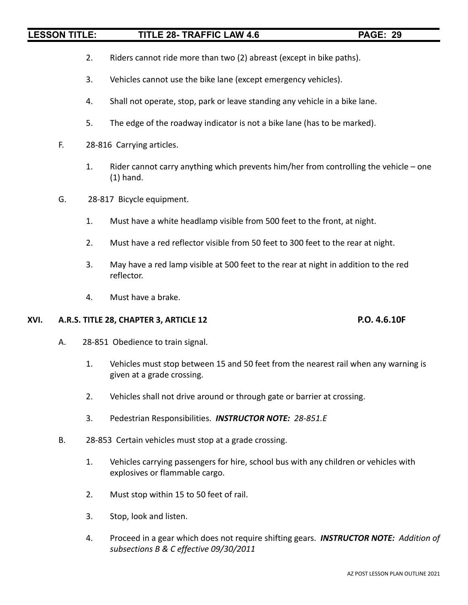- 2. Riders cannot ride more than two (2) abreast (except in bike paths).
- 3. Vehicles cannot use the bike lane (except emergency vehicles).
- 4. Shall not operate, stop, park or leave standing any vehicle in a bike lane.
- 5. The edge of the roadway indicator is not a bike lane (has to be marked).
- F. 28-816 Carrying articles.
	- 1. Rider cannot carry anything which prevents him/her from controlling the vehicle one (1) hand.
- G. 28-817 Bicycle equipment.
	- 1. Must have a white headlamp visible from 500 feet to the front, at night.
	- 2. Must have a red reflector visible from 50 feet to 300 feet to the rear at night.
	- 3. May have a red lamp visible at 500 feet to the rear at night in addition to the red reflector.
	- 4. Must have a brake.

## **XVI. A.R.S. TITLE 28, CHAPTER 3, ARTICLE 12 P.O. 4.6.10F**

- A. 28-851 Obedience to train signal.
	- 1. Vehicles must stop between 15 and 50 feet from the nearest rail when any warning is given at a grade crossing.
	- 2. Vehicles shall not drive around or through gate or barrier at crossing.
	- 3. Pedestrian Responsibilities. *INSTRUCTOR NOTE: 28-851.E*
- B. 28-853 Certain vehicles must stop at a grade crossing.
	- 1. Vehicles carrying passengers for hire, school bus with any children or vehicles with explosives or flammable cargo.
	- 2. Must stop within 15 to 50 feet of rail.
	- 3. Stop, look and listen.
	- 4. Proceed in a gear which does not require shifting gears. *INSTRUCTOR NOTE: Addition of subsections B & C effective 09/30/2011*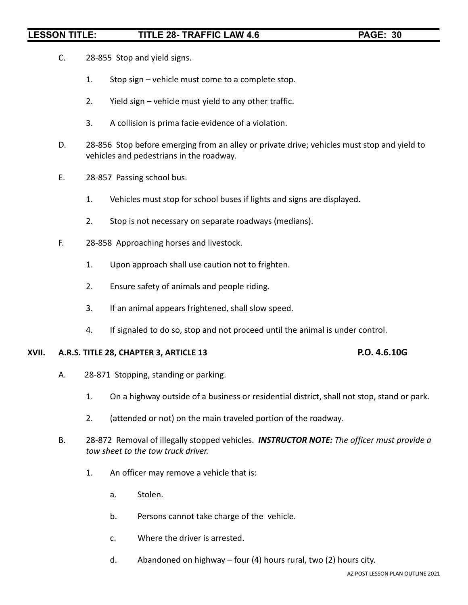- C. 28-855 Stop and yield signs.
	- 1. Stop sign vehicle must come to a complete stop.
	- 2. Yield sign vehicle must yield to any other traffic.
	- 3. A collision is prima facie evidence of a violation.
- D. 28-856 Stop before emerging from an alley or private drive; vehicles must stop and yield to vehicles and pedestrians in the roadway.
- E. 28-857 Passing school bus.
	- 1. Vehicles must stop for school buses if lights and signs are displayed.
	- 2. Stop is not necessary on separate roadways (medians).
- F. 28-858 Approaching horses and livestock.
	- 1. Upon approach shall use caution not to frighten.
	- 2. Ensure safety of animals and people riding.
	- 3. If an animal appears frightened, shall slow speed.
	- 4. If signaled to do so, stop and not proceed until the animal is under control.

### **XVII. A.R.S. TITLE 28, CHAPTER 3, ARTICLE 13 P.O. 4.6.10G**

- A. 28-871 Stopping, standing or parking.
	- 1. On a highway outside of a business or residential district, shall not stop, stand or park.
	- 2. (attended or not) on the main traveled portion of the roadway.
- B. 28-872 Removal of illegally stopped vehicles. *INSTRUCTOR NOTE: The officer must provide a tow sheet to the tow truck driver.*
	- 1. An officer may remove a vehicle that is:
		- a. Stolen.
		- b. Persons cannot take charge of the vehicle.
		- c. Where the driver is arrested.
		- d. Abandoned on highway four (4) hours rural, two (2) hours city.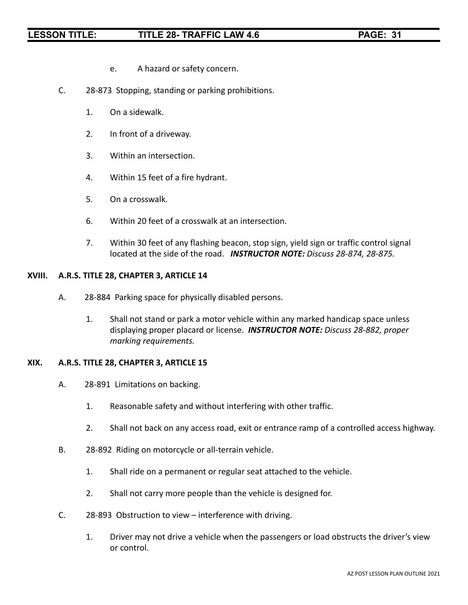- e. A hazard or safety concern.
- C. 28-873 Stopping, standing or parking prohibitions.
	- 1. On a sidewalk.
	- 2. In front of a driveway.
	- 3. Within an intersection.
	- 4. Within 15 feet of a fire hydrant.
	- 5. On a crosswalk.
	- 6. Within 20 feet of a crosswalk at an intersection.
	- 7. Within 30 feet of any flashing beacon, stop sign, yield sign or traffic control signal located at the side of the road. *INSTRUCTOR NOTE: Discuss 28-874, 28-875.*

### **XVIII. A.R.S. TITLE 28, CHAPTER 3, ARTICLE 14**

- A. 28-884 Parking space for physically disabled persons.
	- 1. Shall not stand or park a motor vehicle within any marked handicap space unless displaying proper placard or license. *INSTRUCTOR NOTE: Discuss 28-882, proper marking requirements.*

### **XIX. A.R.S. TITLE 28, CHAPTER 3, ARTICLE 15**

- A. 28-891 Limitations on backing.
	- 1. Reasonable safety and without interfering with other traffic.
	- 2. Shall not back on any access road, exit or entrance ramp of a controlled access highway.
- B. 28-892 Riding on motorcycle or all-terrain vehicle.
	- 1. Shall ride on a permanent or regular seat attached to the vehicle.
	- 2. Shall not carry more people than the vehicle is designed for.
- C. 28-893 Obstruction to view interference with driving.
	- 1. Driver may not drive a vehicle when the passengers or load obstructs the driver's view or control.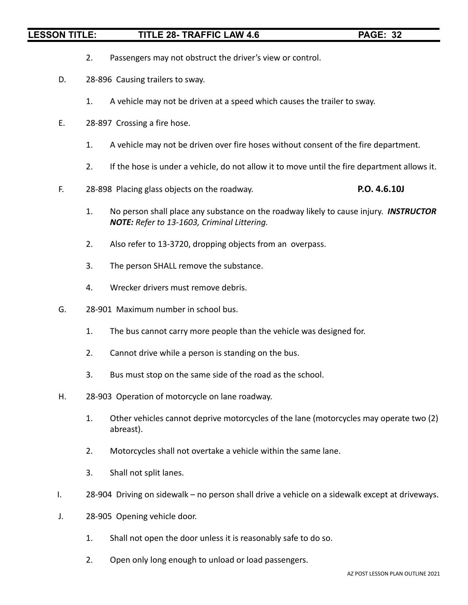- 2. Passengers may not obstruct the driver's view or control.
- D. 28-896 Causing trailers to sway.
	- 1. A vehicle may not be driven at a speed which causes the trailer to sway.
- E. 28-897 Crossing a fire hose.
	- 1. A vehicle may not be driven over fire hoses without consent of the fire department.
	- 2. If the hose is under a vehicle, do not allow it to move until the fire department allows it.
- F. 28-898 Placing glass objects on the roadway. **P.O. 4.6.10J**
	- 1. No person shall place any substance on the roadway likely to cause injury. *INSTRUCTOR NOTE: Refer to 13-1603, Criminal Littering.*
	- 2. Also refer to 13-3720, dropping objects from an overpass.
	- 3. The person SHALL remove the substance.
	- 4. Wrecker drivers must remove debris.
- G. 28-901 Maximum number in school bus.
	- 1. The bus cannot carry more people than the vehicle was designed for.
	- 2. Cannot drive while a person is standing on the bus.
	- 3. Bus must stop on the same side of the road as the school.
- H. 28-903 Operation of motorcycle on lane roadway.
	- 1. Other vehicles cannot deprive motorcycles of the lane (motorcycles may operate two (2) abreast).
	- 2. Motorcycles shall not overtake a vehicle within the same lane.
	- 3. Shall not split lanes.
- I. 28-904 Driving on sidewalk no person shall drive a vehicle on a sidewalk except at driveways.
- J. 28-905 Opening vehicle door.
	- 1. Shall not open the door unless it is reasonably safe to do so.
	- 2. Open only long enough to unload or load passengers.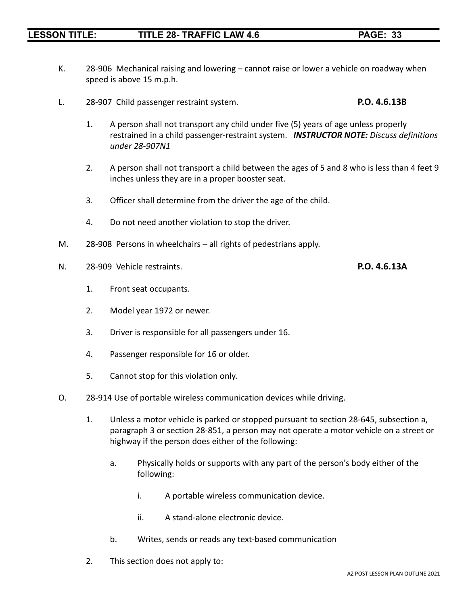- K. 28-906 Mechanical raising and lowering cannot raise or lower a vehicle on roadway when speed is above 15 m.p.h.
- L. 28-907 Child passenger restraint system. **P.O. 4.6.13B**
	- 1. A person shall not transport any child under five (5) years of age unless properly restrained in a child passenger-restraint system. *INSTRUCTOR NOTE: Discuss definitions under 28-907N1*
	- 2. A person shall not transport a child between the ages of 5 and 8 who is less than 4 feet 9 inches unless they are in a proper booster seat.
	- 3. Officer shall determine from the driver the age of the child.
	- 4. Do not need another violation to stop the driver.
- M. 28-908 Persons in wheelchairs all rights of pedestrians apply.
- N. 28-909 Vehicle restraints. **P.O. 4.6.13A**
	- 1. Front seat occupants.
	- 2. Model year 1972 or newer.
	- 3. Driver is responsible for all passengers under 16.
	- 4. Passenger responsible for 16 or older.
	- 5. Cannot stop for this violation only.
- O. 28-914 Use of portable wireless communication devices while driving.
	- 1. Unless a motor vehicle is parked or stopped pursuant to section 28-645, subsection a, paragraph 3 or section 28-851, a person may not operate a motor vehicle on a street or highway if the person does either of the following:
		- a. Physically holds or supports with any part of the person's body either of the following:
			- i. A portable wireless communication device.
			- ii. A stand-alone electronic device.
		- b. Writes, sends or reads any text-based communication
	- 2. This section does not apply to: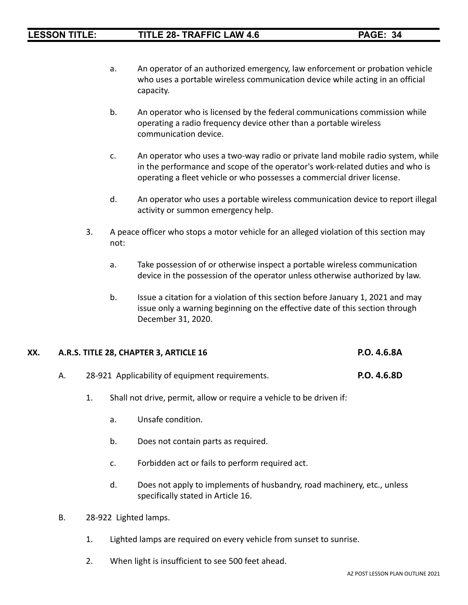- a. An operator of an authorized emergency, law enforcement or probation vehicle who uses a portable wireless communication device while acting in an official capacity.
- b. An operator who is licensed by the federal communications commission while operating a radio frequency device other than a portable wireless communication device.
- c. An operator who uses a two-way radio or private land mobile radio system, while in the performance and scope of the operator's work-related duties and who is operating a fleet vehicle or who possesses a commercial driver license.
- d. An operator who uses a portable wireless communication device to report illegal activity or summon emergency help.
- 3. A peace officer who stops a motor vehicle for an alleged violation of this section may not:
	- a. Take possession of or otherwise inspect a portable wireless communication device in the possession of the operator unless otherwise authorized by law.
	- b. Issue a citation for a violation of this section before January 1, 2021 and may issue only a warning beginning on the effective date of this section through December 31, 2020.

### **XX. A.R.S. TITLE 28, CHAPTER 3, ARTICLE 16 P.O. 4.6.8A**

### A. 28-921 Applicability of equipment requirements. **P.O. 4.6.8D**

- 1. Shall not drive, permit, allow or require a vehicle to be driven if:
	- a. Unsafe condition.
	- b. Does not contain parts as required.
	- c. Forbidden act or fails to perform required act.
	- d. Does not apply to implements of husbandry, road machinery, etc., unless specifically stated in Article 16.
- B. 28-922 Lighted lamps.
	- 1. Lighted lamps are required on every vehicle from sunset to sunrise.
	- 2. When light is insufficient to see 500 feet ahead.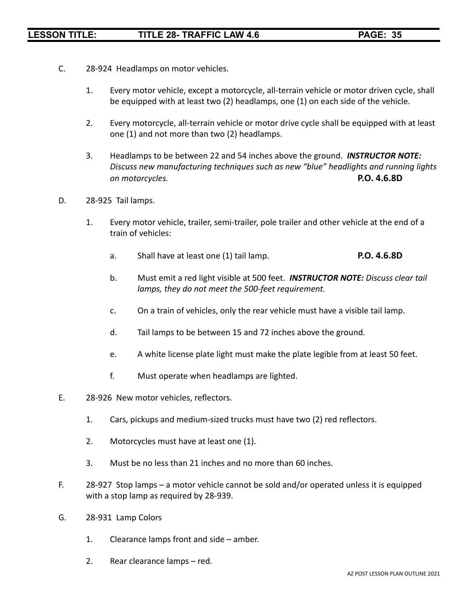- C. 28-924 Headlamps on motor vehicles.
	- 1. Every motor vehicle, except a motorcycle, all-terrain vehicle or motor driven cycle, shall be equipped with at least two (2) headlamps, one (1) on each side of the vehicle.
	- 2. Every motorcycle, all-terrain vehicle or motor drive cycle shall be equipped with at least one (1) and not more than two (2) headlamps.
	- 3. Headlamps to be between 22 and 54 inches above the ground. *INSTRUCTOR NOTE: Discuss new manufacturing techniques such as new "blue" headlights and running lights on motorcycles.* **P.O. 4.6.8D**
- D. 28-925 Tail lamps.
	- 1. Every motor vehicle, trailer, semi-trailer, pole trailer and other vehicle at the end of a train of vehicles:
		- a. Shall have at least one (1) tail lamp. **P.O. 4.6.8D**
		- b. Must emit a red light visible at 500 feet. *INSTRUCTOR NOTE: Discuss clear tail lamps, they do not meet the 500-feet requirement.*
		- c. On a train of vehicles, only the rear vehicle must have a visible tail lamp.
		- d. Tail lamps to be between 15 and 72 inches above the ground.
		- e. A white license plate light must make the plate legible from at least 50 feet.
		- f. Must operate when headlamps are lighted.
- E. 28-926 New motor vehicles, reflectors.
	- 1. Cars, pickups and medium-sized trucks must have two (2) red reflectors.
	- 2. Motorcycles must have at least one (1).
	- 3. Must be no less than 21 inches and no more than 60 inches.
- F. 28-927 Stop lamps a motor vehicle cannot be sold and/or operated unless it is equipped with a stop lamp as required by 28-939.
- G. 28-931 Lamp Colors
	- 1. Clearance lamps front and side amber.
	- 2. Rear clearance lamps red.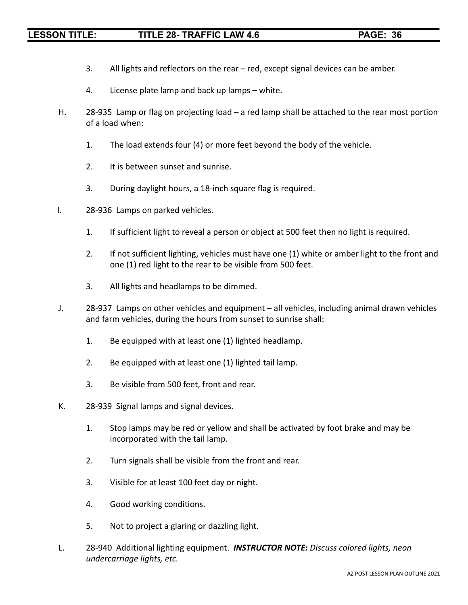- 3. All lights and reflectors on the rear red, except signal devices can be amber.
- 4. License plate lamp and back up lamps white.
- H. 28-935 Lamp or flag on projecting load a red lamp shall be attached to the rear most portion of a load when:
	- 1. The load extends four (4) or more feet beyond the body of the vehicle.
	- 2. It is between sunset and sunrise.
	- 3. During daylight hours, a 18-inch square flag is required.
- I. 28-936 Lamps on parked vehicles.
	- 1. If sufficient light to reveal a person or object at 500 feet then no light is required.
	- 2. If not sufficient lighting, vehicles must have one (1) white or amber light to the front and one (1) red light to the rear to be visible from 500 feet.
	- 3. All lights and headlamps to be dimmed.
- J. 28-937 Lamps on other vehicles and equipment all vehicles, including animal drawn vehicles and farm vehicles, during the hours from sunset to sunrise shall:
	- 1. Be equipped with at least one (1) lighted headlamp.
	- 2. Be equipped with at least one (1) lighted tail lamp.
	- 3. Be visible from 500 feet, front and rear.
- K. 28-939 Signal lamps and signal devices.
	- 1. Stop lamps may be red or yellow and shall be activated by foot brake and may be incorporated with the tail lamp.
	- 2. Turn signals shall be visible from the front and rear.
	- 3. Visible for at least 100 feet day or night.
	- 4. Good working conditions.
	- 5. Not to project a glaring or dazzling light.
- L. 28-940 Additional lighting equipment. *INSTRUCTOR NOTE: Discuss colored lights, neon undercarriage lights, etc.*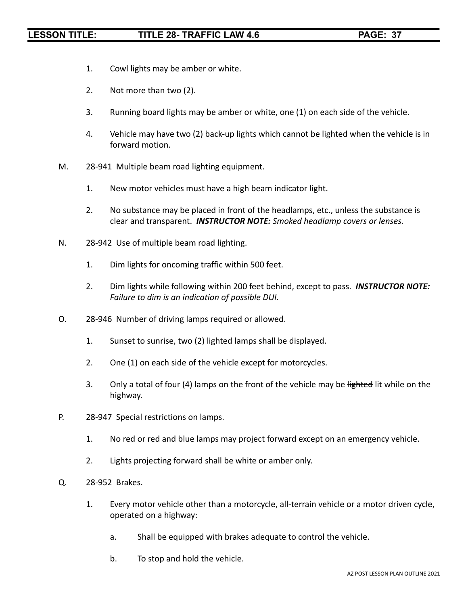- 1. Cowl lights may be amber or white.
- 2. Not more than two (2).
- 3. Running board lights may be amber or white, one (1) on each side of the vehicle.
- 4. Vehicle may have two (2) back-up lights which cannot be lighted when the vehicle is in forward motion.
- M. 28-941 Multiple beam road lighting equipment.
	- 1. New motor vehicles must have a high beam indicator light.
	- 2. No substance may be placed in front of the headlamps, etc., unless the substance is clear and transparent. *INSTRUCTOR NOTE: Smoked headlamp covers or lenses.*
- N. 28-942 Use of multiple beam road lighting.
	- 1. Dim lights for oncoming traffic within 500 feet.
	- 2. Dim lights while following within 200 feet behind, except to pass. *INSTRUCTOR NOTE: Failure to dim is an indication of possible DUI.*
- O. 28-946 Number of driving lamps required or allowed.
	- 1. Sunset to sunrise, two (2) lighted lamps shall be displayed.
	- 2. One (1) on each side of the vehicle except for motorcycles.
	- 3. Only a total of four (4) lamps on the front of the vehicle may be lighted lit while on the highway.
- P. 28-947 Special restrictions on lamps.
	- 1. No red or red and blue lamps may project forward except on an emergency vehicle.
	- 2. Lights projecting forward shall be white or amber only.
- Q. 28-952 Brakes.
	- 1. Every motor vehicle other than a motorcycle, all-terrain vehicle or a motor driven cycle, operated on a highway:
		- a. Shall be equipped with brakes adequate to control the vehicle.
		- b. To stop and hold the vehicle.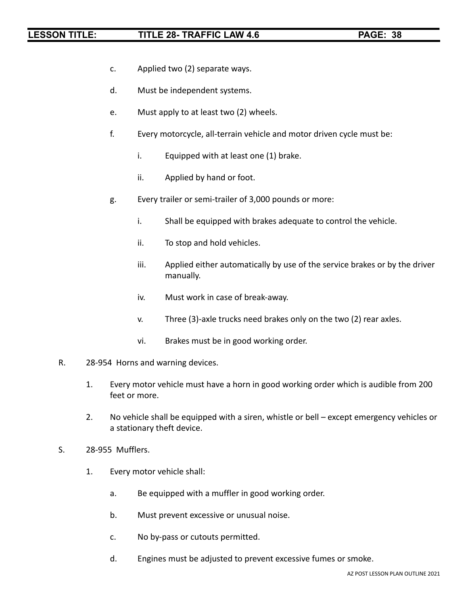- c. Applied two (2) separate ways.
- d. Must be independent systems.
- e. Must apply to at least two (2) wheels.
- f. Every motorcycle, all-terrain vehicle and motor driven cycle must be:
	- i. Equipped with at least one (1) brake.
	- ii. Applied by hand or foot.
- g. Every trailer or semi-trailer of 3,000 pounds or more:
	- i. Shall be equipped with brakes adequate to control the vehicle.
	- ii. To stop and hold vehicles.
	- iii. Applied either automatically by use of the service brakes or by the driver manually.
	- iv. Must work in case of break-away.
	- v. Three (3)-axle trucks need brakes only on the two (2) rear axles.
	- vi. Brakes must be in good working order.
- R. 28-954 Horns and warning devices.
	- 1. Every motor vehicle must have a horn in good working order which is audible from 200 feet or more.
	- 2. No vehicle shall be equipped with a siren, whistle or bell except emergency vehicles or a stationary theft device.
- S. 28-955 Mufflers.
	- 1. Every motor vehicle shall:
		- a. Be equipped with a muffler in good working order.
		- b. Must prevent excessive or unusual noise.
		- c. No by-pass or cutouts permitted.
		- d. Engines must be adjusted to prevent excessive fumes or smoke.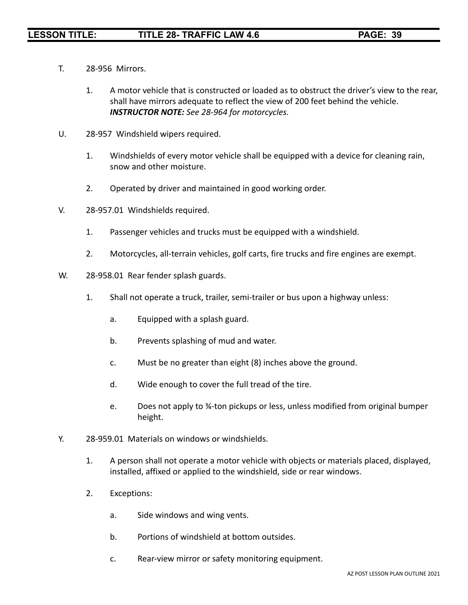- T. 28-956 Mirrors.
	- 1. A motor vehicle that is constructed or loaded as to obstruct the driver's view to the rear, shall have mirrors adequate to reflect the view of 200 feet behind the vehicle. *INSTRUCTOR NOTE: See 28-964 for motorcycles.*
- U. 28-957 Windshield wipers required.
	- 1. Windshields of every motor vehicle shall be equipped with a device for cleaning rain, snow and other moisture.
	- 2. Operated by driver and maintained in good working order.
- V. 28-957.01 Windshields required.
	- 1. Passenger vehicles and trucks must be equipped with a windshield.
	- 2. Motorcycles, all-terrain vehicles, golf carts, fire trucks and fire engines are exempt.
- W. 28-958.01 Rear fender splash guards.
	- 1. Shall not operate a truck, trailer, semi-trailer or bus upon a highway unless:
		- a. Equipped with a splash guard.
		- b. Prevents splashing of mud and water.
		- c. Must be no greater than eight (8) inches above the ground.
		- d. Wide enough to cover the full tread of the tire.
		- e. Does not apply to ¾-ton pickups or less, unless modified from original bumper height.
- Y. 28-959.01 Materials on windows or windshields.
	- 1. A person shall not operate a motor vehicle with objects or materials placed, displayed, installed, affixed or applied to the windshield, side or rear windows.
	- 2. Exceptions:
		- a. Side windows and wing vents.
		- b. Portions of windshield at bottom outsides.
		- c. Rear-view mirror or safety monitoring equipment.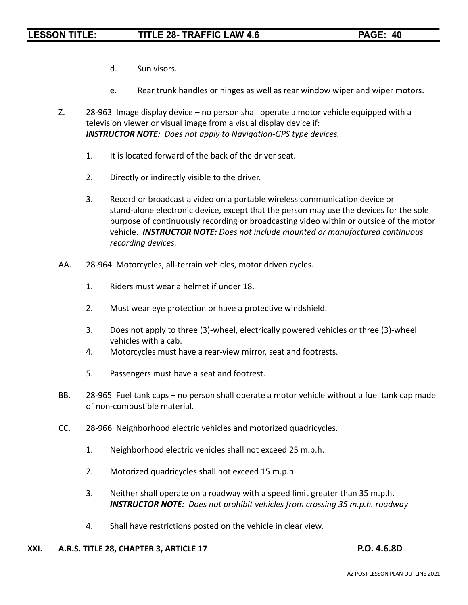- d. Sun visors.
- e. Rear trunk handles or hinges as well as rear window wiper and wiper motors.
- Z. 28-963 Image display device no person shall operate a motor vehicle equipped with a television viewer or visual image from a visual display device if: *INSTRUCTOR NOTE: Does not apply to Navigation-GPS type devices.*
	- 1. It is located forward of the back of the driver seat.
	- 2. Directly or indirectly visible to the driver.
	- 3. Record or broadcast a video on a portable wireless communication device or stand-alone electronic device, except that the person may use the devices for the sole purpose of continuously recording or broadcasting video within or outside of the motor vehicle. *INSTRUCTOR NOTE: Does not include mounted or manufactured continuous recording devices.*
- AA. 28-964 Motorcycles, all-terrain vehicles, motor driven cycles.
	- 1. Riders must wear a helmet if under 18.
	- 2. Must wear eye protection or have a protective windshield.
	- 3. Does not apply to three (3)-wheel, electrically powered vehicles or three (3)-wheel vehicles with a cab.
	- 4. Motorcycles must have a rear-view mirror, seat and footrests.
	- 5. Passengers must have a seat and footrest.
- BB. 28-965 Fuel tank caps no person shall operate a motor vehicle without a fuel tank cap made of non-combustible material.
- CC. 28-966 Neighborhood electric vehicles and motorized quadricycles.
	- 1. Neighborhood electric vehicles shall not exceed 25 m.p.h.
	- 2. Motorized quadricycles shall not exceed 15 m.p.h.
	- 3. Neither shall operate on a roadway with a speed limit greater than 35 m.p.h. *INSTRUCTOR NOTE: Does not prohibit vehicles from crossing 35 m.p.h. roadway*
	- 4. Shall have restrictions posted on the vehicle in clear view.

### **XXI. A.R.S. TITLE 28, CHAPTER 3, ARTICLE 17 P.O. 4.6.8D**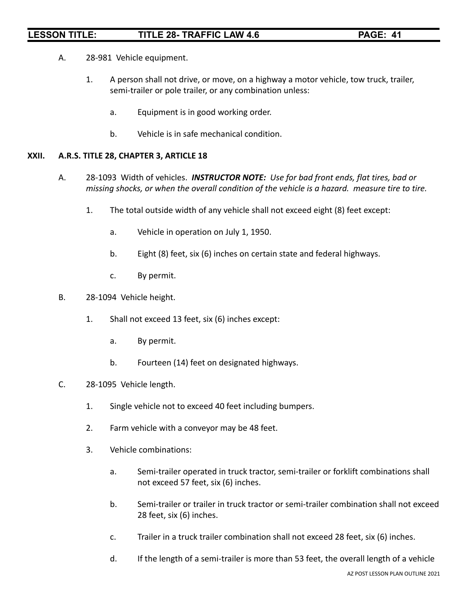- A. 28-981 Vehicle equipment.
	- 1. A person shall not drive, or move, on a highway a motor vehicle, tow truck, trailer, semi-trailer or pole trailer, or any combination unless:
		- a. Equipment is in good working order.
		- b. Vehicle is in safe mechanical condition.

### **XXII. A.R.S. TITLE 28, CHAPTER 3, ARTICLE 18**

- A. 28-1093 Width of vehicles. *INSTRUCTOR NOTE: Use for bad front ends, flat tires, bad or missing shocks, or when the overall condition of the vehicle is a hazard. measure tire to tire.*
	- 1. The total outside width of any vehicle shall not exceed eight (8) feet except:
		- a. Vehicle in operation on July 1, 1950.
		- b. Eight (8) feet, six (6) inches on certain state and federal highways.
		- c. By permit.
- B. 28-1094 Vehicle height.
	- 1. Shall not exceed 13 feet, six (6) inches except:
		- a. By permit.
		- b. Fourteen (14) feet on designated highways.
- C. 28-1095 Vehicle length.
	- 1. Single vehicle not to exceed 40 feet including bumpers.
	- 2. Farm vehicle with a conveyor may be 48 feet.
	- 3. Vehicle combinations:
		- a. Semi-trailer operated in truck tractor, semi-trailer or forklift combinations shall not exceed 57 feet, six (6) inches.
		- b. Semi-trailer or trailer in truck tractor or semi-trailer combination shall not exceed 28 feet, six (6) inches.
		- c. Trailer in a truck trailer combination shall not exceed 28 feet, six (6) inches.
		- d. If the length of a semi-trailer is more than 53 feet, the overall length of a vehicle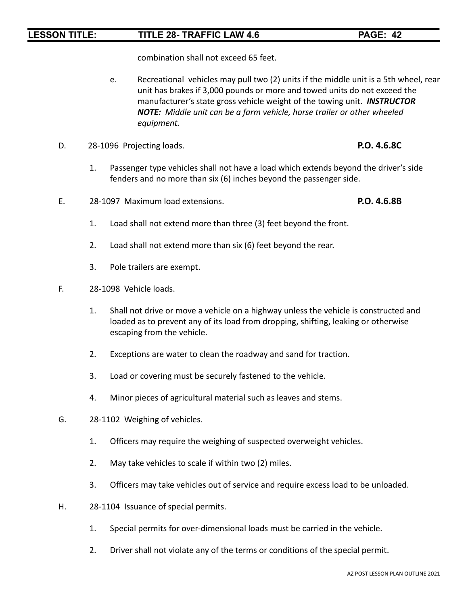combination shall not exceed 65 feet.

- e. Recreational vehicles may pull two (2) units if the middle unit is a 5th wheel, rear unit has brakes if 3,000 pounds or more and towed units do not exceed the manufacturer's state gross vehicle weight of the towing unit. *INSTRUCTOR NOTE: Middle unit can be a farm vehicle, horse trailer or other wheeled equipment.*
- D. 28-1096 Projecting loads. **P.O. 4.6.8C**
	- 1. Passenger type vehicles shall not have a load which extends beyond the driver's side fenders and no more than six (6) inches beyond the passenger side.
- E. 28-1097 Maximum load extensions. **P.O. 4.6.8B**

- 1. Load shall not extend more than three (3) feet beyond the front.
- 2. Load shall not extend more than six (6) feet beyond the rear.
- 3. Pole trailers are exempt.
- F. 28-1098 Vehicle loads.
	- 1. Shall not drive or move a vehicle on a highway unless the vehicle is constructed and loaded as to prevent any of its load from dropping, shifting, leaking or otherwise escaping from the vehicle.
	- 2. Exceptions are water to clean the roadway and sand for traction.
	- 3. Load or covering must be securely fastened to the vehicle.
	- 4. Minor pieces of agricultural material such as leaves and stems.
- G. 28-1102 Weighing of vehicles.
	- 1. Officers may require the weighing of suspected overweight vehicles.
	- 2. May take vehicles to scale if within two (2) miles.
	- 3. Officers may take vehicles out of service and require excess load to be unloaded.
- H. 28-1104 Issuance of special permits.
	- 1. Special permits for over-dimensional loads must be carried in the vehicle.
	- 2. Driver shall not violate any of the terms or conditions of the special permit.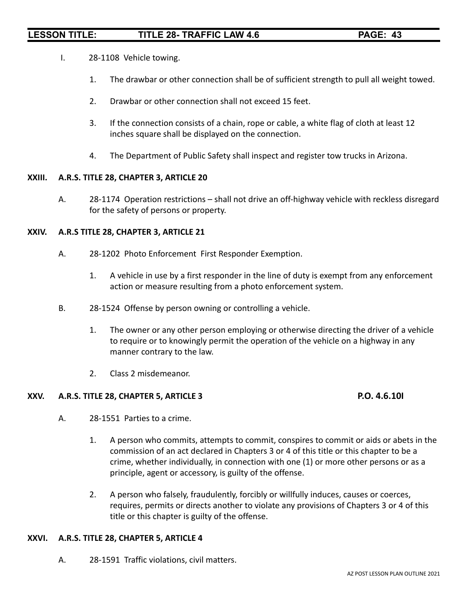- I. 28-1108 Vehicle towing.
	- 1. The drawbar or other connection shall be of sufficient strength to pull all weight towed.
	- 2. Drawbar or other connection shall not exceed 15 feet.
	- 3. If the connection consists of a chain, rope or cable, a white flag of cloth at least 12 inches square shall be displayed on the connection.
	- 4. The Department of Public Safety shall inspect and register tow trucks in Arizona.

### **XXIII. A.R.S. TITLE 28, CHAPTER 3, ARTICLE 20**

A. 28-1174 Operation restrictions – shall not drive an off-highway vehicle with reckless disregard for the safety of persons or property.

### **XXIV. A.R.S TITLE 28, CHAPTER 3, ARTICLE 21**

- A. 28-1202 Photo Enforcement First Responder Exemption.
	- 1. A vehicle in use by a first responder in the line of duty is exempt from any enforcement action or measure resulting from a photo enforcement system.
- B. 28-1524 Offense by person owning or controlling a vehicle.
	- 1. The owner or any other person employing or otherwise directing the driver of a vehicle to require or to knowingly permit the operation of the vehicle on a highway in any manner contrary to the law.
	- 2. Class 2 misdemeanor.

### **XXV. A.R.S. TITLE 28, CHAPTER 5, ARTICLE 3 P.O. 4.6.10I**

- A. 28-1551 Parties to a crime.
	- 1. A person who commits, attempts to commit, conspires to commit or aids or abets in the commission of an act declared in Chapters 3 or 4 of this title or this chapter to be a crime, whether individually, in connection with one (1) or more other persons or as a principle, agent or accessory, is guilty of the offense.
	- 2. A person who falsely, fraudulently, forcibly or willfully induces, causes or coerces, requires, permits or directs another to violate any provisions of Chapters 3 or 4 of this title or this chapter is guilty of the offense.

### **XXVI. A.R.S. TITLE 28, CHAPTER 5, ARTICLE 4**

A. 28-1591 Traffic violations, civil matters.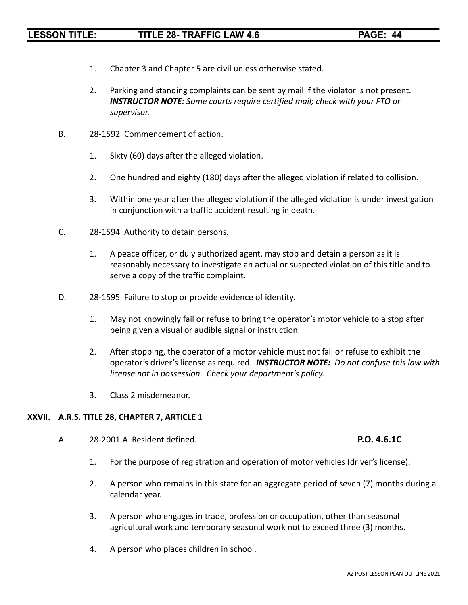- 1. Chapter 3 and Chapter 5 are civil unless otherwise stated.
- 2. Parking and standing complaints can be sent by mail if the violator is not present. *INSTRUCTOR NOTE: Some courts require certified mail; check with your FTO or supervisor.*
- B. 28-1592 Commencement of action.
	- 1. Sixty (60) days after the alleged violation.
	- 2. One hundred and eighty (180) days after the alleged violation if related to collision.
	- 3. Within one year after the alleged violation if the alleged violation is under investigation in conjunction with a traffic accident resulting in death.
- C. 28-1594 Authority to detain persons.
	- 1. A peace officer, or duly authorized agent, may stop and detain a person as it is reasonably necessary to investigate an actual or suspected violation of this title and to serve a copy of the traffic complaint.
- D. 28-1595 Failure to stop or provide evidence of identity.
	- 1. May not knowingly fail or refuse to bring the operator's motor vehicle to a stop after being given a visual or audible signal or instruction.
	- 2. After stopping, the operator of a motor vehicle must not fail or refuse to exhibit the operator's driver's license as required. *INSTRUCTOR NOTE: Do not confuse this law with license not in possession. Check your department's policy.*
	- 3. Class 2 misdemeanor.

### **XXVII. A.R.S. TITLE 28, CHAPTER 7, ARTICLE 1**

A. 28-2001.A Resident defined. **P.O. 4.6.1C**

- 1. For the purpose of registration and operation of motor vehicles (driver's license).
- 2. A person who remains in this state for an aggregate period of seven (7) months during a calendar year.
- 3. A person who engages in trade, profession or occupation, other than seasonal agricultural work and temporary seasonal work not to exceed three (3) months.
- 4. A person who places children in school.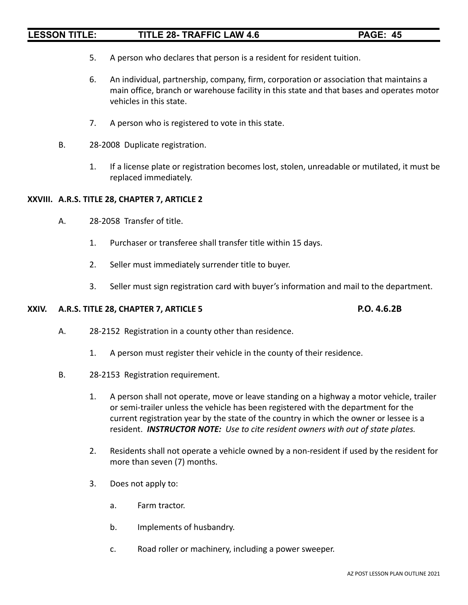- 5. A person who declares that person is a resident for resident tuition.
- 6. An individual, partnership, company, firm, corporation or association that maintains a main office, branch or warehouse facility in this state and that bases and operates motor vehicles in this state.
- 7. A person who is registered to vote in this state.
- B. 28-2008 Duplicate registration.
	- 1. If a license plate or registration becomes lost, stolen, unreadable or mutilated, it must be replaced immediately.

### **XXVIII. A.R.S. TITLE 28, CHAPTER 7, ARTICLE 2**

- A. 28-2058 Transfer of title.
	- 1. Purchaser or transferee shall transfer title within 15 days.
	- 2. Seller must immediately surrender title to buyer.
	- 3. Seller must sign registration card with buyer's information and mail to the department.

### **XXIV. A.R.S. TITLE 28, CHAPTER 7, ARTICLE 5 P.O. 4.6.2B**

- A. 28-2152 Registration in a county other than residence.
	- 1. A person must register their vehicle in the county of their residence.
- B. 28-2153 Registration requirement.
	- 1. A person shall not operate, move or leave standing on a highway a motor vehicle, trailer or semi-trailer unless the vehicle has been registered with the department for the current registration year by the state of the country in which the owner or lessee is a resident. *INSTRUCTOR NOTE: Use to cite resident owners with out of state plates.*
	- 2. Residents shall not operate a vehicle owned by a non-resident if used by the resident for more than seven (7) months.
	- 3. Does not apply to:
		- a. Farm tractor.
		- b. Implements of husbandry.
		- c. Road roller or machinery, including a power sweeper.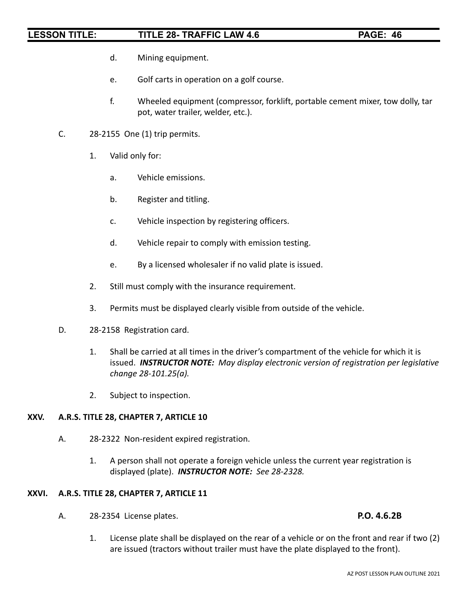- d. Mining equipment.
- e. Golf carts in operation on a golf course.
- f. Wheeled equipment (compressor, forklift, portable cement mixer, tow dolly, tar pot, water trailer, welder, etc.).
- C. 28-2155 One (1) trip permits.
	- 1. Valid only for:
		- a. Vehicle emissions.
		- b. Register and titling.
		- c. Vehicle inspection by registering officers.
		- d. Vehicle repair to comply with emission testing.
		- e. By a licensed wholesaler if no valid plate is issued.
	- 2. Still must comply with the insurance requirement.
	- 3. Permits must be displayed clearly visible from outside of the vehicle.
- D. 28-2158 Registration card.
	- 1. Shall be carried at all times in the driver's compartment of the vehicle for which it is issued. *INSTRUCTOR NOTE: May display electronic version of registration per legislative change 28-101.25(a).*
	- 2. Subject to inspection.

### **XXV. A.R.S. TITLE 28, CHAPTER 7, ARTICLE 10**

- A. 28-2322 Non-resident expired registration.
	- 1. A person shall not operate a foreign vehicle unless the current year registration is displayed (plate). *INSTRUCTOR NOTE: See 28-2328.*

### **XXVI. A.R.S. TITLE 28, CHAPTER 7, ARTICLE 11**

A. 28-2354 License plates. **P.O. 4.6.2B**

1. License plate shall be displayed on the rear of a vehicle or on the front and rear if two (2) are issued (tractors without trailer must have the plate displayed to the front).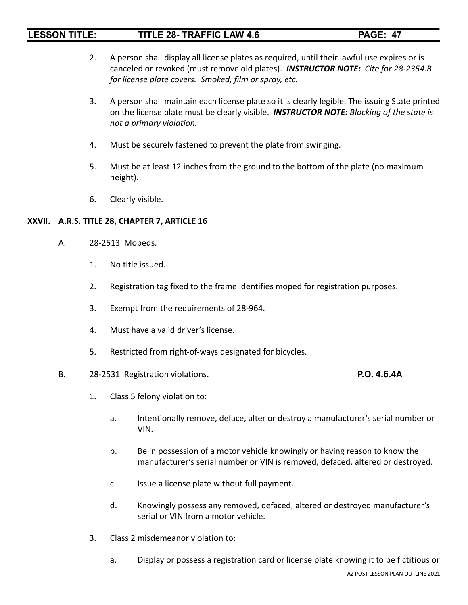- 2. A person shall display all license plates as required, until their lawful use expires or is canceled or revoked (must remove old plates). *INSTRUCTOR NOTE: Cite for 28-2354.B for license plate covers. Smoked, film or spray, etc.*
- 3. A person shall maintain each license plate so it is clearly legible. The issuing State printed on the license plate must be clearly visible. *INSTRUCTOR NOTE: Blocking of the state is not a primary violation.*
- 4. Must be securely fastened to prevent the plate from swinging.
- 5. Must be at least 12 inches from the ground to the bottom of the plate (no maximum height).
- 6. Clearly visible.

### **XXVII. A.R.S. TITLE 28, CHAPTER 7, ARTICLE 16**

- A. 28-2513 Mopeds.
	- 1. No title issued.
	- 2. Registration tag fixed to the frame identifies moped for registration purposes.
	- 3. Exempt from the requirements of 28-964.
	- 4. Must have a valid driver's license.
	- 5. Restricted from right-of-ways designated for bicycles.

### B. 28-2531 Registration violations. **P.O. 4.6.4A**

- 1. Class 5 felony violation to:
	- a. Intentionally remove, deface, alter or destroy a manufacturer's serial number or VIN.
	- b. Be in possession of a motor vehicle knowingly or having reason to know the manufacturer's serial number or VIN is removed, defaced, altered or destroyed.
	- c. Issue a license plate without full payment.
	- d. Knowingly possess any removed, defaced, altered or destroyed manufacturer's serial or VIN from a motor vehicle.
- 3. Class 2 misdemeanor violation to:
	- a. Display or possess a registration card or license plate knowing it to be fictitious or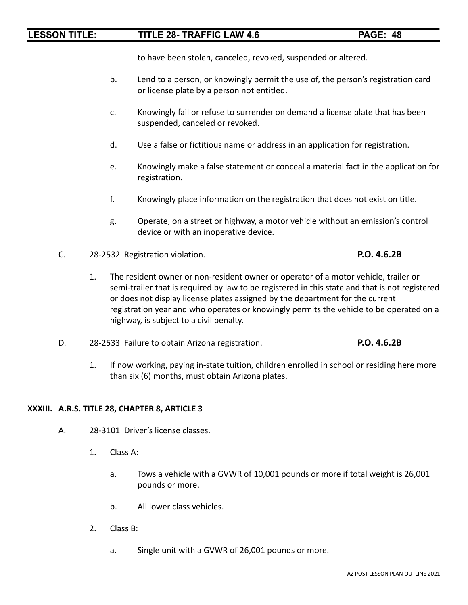to have been stolen, canceled, revoked, suspended or altered.

- b. Lend to a person, or knowingly permit the use of, the person's registration card or license plate by a person not entitled.
- c. Knowingly fail or refuse to surrender on demand a license plate that has been suspended, canceled or revoked.
- d. Use a false or fictitious name or address in an application for registration.
- e. Knowingly make a false statement or conceal a material fact in the application for registration.
- f. Knowingly place information on the registration that does not exist on title.
- g. Operate, on a street or highway, a motor vehicle without an emission's control device or with an inoperative device.
- C. 28-2532 Registration violation. **P.O. 4.6.2B**
	- 1. The resident owner or non-resident owner or operator of a motor vehicle, trailer or semi-trailer that is required by law to be registered in this state and that is not registered or does not display license plates assigned by the department for the current registration year and who operates or knowingly permits the vehicle to be operated on a highway, is subject to a civil penalty.
- D. 28-2533 Failure to obtain Arizona registration. **P.O. 4.6.2B**
	- 1. If now working, paying in-state tuition, children enrolled in school or residing here more than six (6) months, must obtain Arizona plates.

### **XXXIII. A.R.S. TITLE 28, CHAPTER 8, ARTICLE 3**

- A. 28-3101 Driver's license classes.
	- 1. Class A:
		- a. Tows a vehicle with a GVWR of 10,001 pounds or more if total weight is 26,001 pounds or more.
		- b. All lower class vehicles.
	- 2. Class B:
		- a. Single unit with a GVWR of 26,001 pounds or more.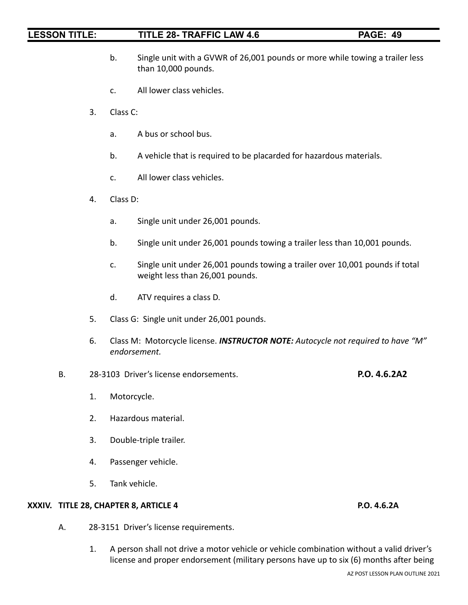- b. Single unit with a GVWR of 26,001 pounds or more while towing a trailer less than 10,000 pounds.
- c. All lower class vehicles.
- 3. Class C:
	- a. A bus or school bus.
	- b. A vehicle that is required to be placarded for hazardous materials.
	- c. All lower class vehicles.
- 4. Class D:
	- a. Single unit under 26,001 pounds.
	- b. Single unit under 26,001 pounds towing a trailer less than 10,001 pounds.
	- c. Single unit under 26,001 pounds towing a trailer over 10,001 pounds if total weight less than 26,001 pounds.
	- d. ATV requires a class D.
- 5. Class G: Single unit under 26,001 pounds.
- 6. Class M: Motorcycle license. *INSTRUCTOR NOTE: Autocycle not required to have "M" endorsement.*
- B. 28-3103 Driver's license endorsements. **P.O. 4.6.2A2**
	- 1. Motorcycle.
	- 2. Hazardous material.
	- 3. Double-triple trailer.
	- 4. Passenger vehicle.
	- 5. Tank vehicle.

### **XXXIV. TITLE 28, CHAPTER 8, ARTICLE 4 P.O. 4.6.2A**

- A. 28-3151 Driver's license requirements.
	- 1. A person shall not drive a motor vehicle or vehicle combination without a valid driver's license and proper endorsement (military persons have up to six (6) months after being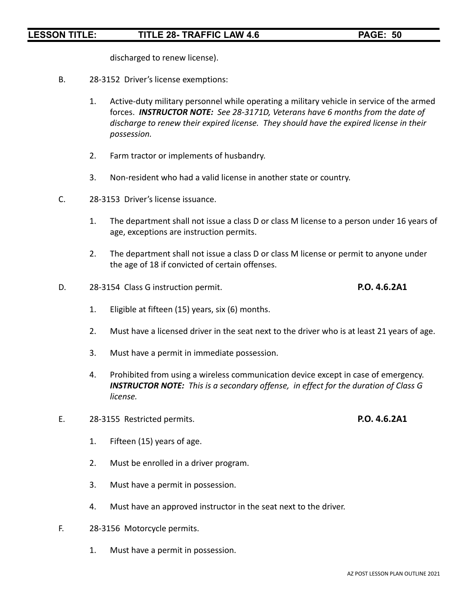discharged to renew license).

- B. 28-3152 Driver's license exemptions:
	- 1. Active-duty military personnel while operating a military vehicle in service of the armed forces. *INSTRUCTOR NOTE: See 28-3171D, Veterans have 6 months from the date of discharge to renew their expired license. They should have the expired license in their possession.*
	- 2. Farm tractor or implements of husbandry.
	- 3. Non-resident who had a valid license in another state or country.
- C. 28-3153 Driver's license issuance.
	- 1. The department shall not issue a class D or class M license to a person under 16 years of age, exceptions are instruction permits.
	- 2. The department shall not issue a class D or class M license or permit to anyone under the age of 18 if convicted of certain offenses.
- D. 28-3154 Class G instruction permit. **P.O. 4.6.2A1**

- 1. Eligible at fifteen (15) years, six (6) months.
- 2. Must have a licensed driver in the seat next to the driver who is at least 21 years of age.
- 3. Must have a permit in immediate possession.
- 4. Prohibited from using a wireless communication device except in case of emergency. *INSTRUCTOR NOTE: This is a secondary offense, in effect for the duration of Class G license.*
- E. 28-3155 Restricted permits. **P.O. 4.6.2A1**
	- 1. Fifteen (15) years of age.
	- 2. Must be enrolled in a driver program.
	- 3. Must have a permit in possession.
	- 4. Must have an approved instructor in the seat next to the driver.
- F. 28-3156 Motorcycle permits.
	- 1. Must have a permit in possession.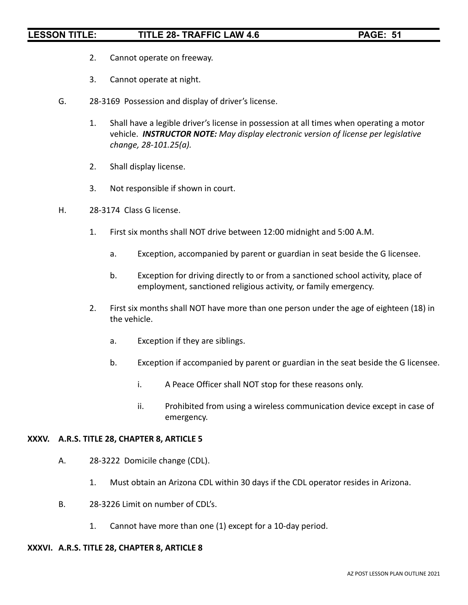- 2. Cannot operate on freeway.
- 3. Cannot operate at night.
- G. 28-3169 Possession and display of driver's license.
	- 1. Shall have a legible driver's license in possession at all times when operating a motor vehicle. *INSTRUCTOR NOTE: May display electronic version of license per legislative change, 28-101.25(a).*
	- 2. Shall display license.
	- 3. Not responsible if shown in court.
- H. 28-3174 Class G license.
	- 1. First six months shall NOT drive between 12:00 midnight and 5:00 A.M.
		- a. Exception, accompanied by parent or guardian in seat beside the G licensee.
		- b. Exception for driving directly to or from a sanctioned school activity, place of employment, sanctioned religious activity, or family emergency.
	- 2. First six months shall NOT have more than one person under the age of eighteen (18) in the vehicle.
		- a. Exception if they are siblings.
		- b. Exception if accompanied by parent or guardian in the seat beside the G licensee.
			- i. A Peace Officer shall NOT stop for these reasons only.
			- ii. Prohibited from using a wireless communication device except in case of emergency.

### **XXXV. A.R.S. TITLE 28, CHAPTER 8, ARTICLE 5**

- A. 28-3222 Domicile change (CDL).
	- 1. Must obtain an Arizona CDL within 30 days if the CDL operator resides in Arizona.
- B. 28-3226 Limit on number of CDL's.
	- 1. Cannot have more than one (1) except for a 10-day period.

### **XXXVI. A.R.S. TITLE 28, CHAPTER 8, ARTICLE 8**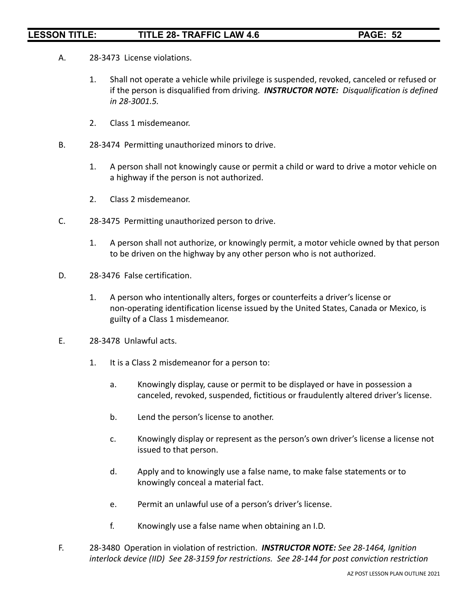- A. 28-3473 License violations.
	- 1. Shall not operate a vehicle while privilege is suspended, revoked, canceled or refused or if the person is disqualified from driving. *INSTRUCTOR NOTE: Disqualification is defined in 28-3001.5.*
	- 2. Class 1 misdemeanor.
- B. 28-3474 Permitting unauthorized minors to drive.
	- 1. A person shall not knowingly cause or permit a child or ward to drive a motor vehicle on a highway if the person is not authorized.
	- 2. Class 2 misdemeanor.
- C. 28-3475 Permitting unauthorized person to drive.
	- 1. A person shall not authorize, or knowingly permit, a motor vehicle owned by that person to be driven on the highway by any other person who is not authorized.
- D. 28-3476 False certification.
	- 1. A person who intentionally alters, forges or counterfeits a driver's license or non-operating identification license issued by the United States, Canada or Mexico, is guilty of a Class 1 misdemeanor.
- E. 28-3478 Unlawful acts.
	- 1. It is a Class 2 misdemeanor for a person to:
		- a. Knowingly display, cause or permit to be displayed or have in possession a canceled, revoked, suspended, fictitious or fraudulently altered driver's license.
		- b. Lend the person's license to another.
		- c. Knowingly display or represent as the person's own driver's license a license not issued to that person.
		- d. Apply and to knowingly use a false name, to make false statements or to knowingly conceal a material fact.
		- e. Permit an unlawful use of a person's driver's license.
		- f. Knowingly use a false name when obtaining an I.D.
- F. 28-3480 Operation in violation of restriction. *INSTRUCTOR NOTE: See 28-1464, Ignition interlock device (IID) See 28-3159 for restrictions. See 28-144 for post conviction restriction*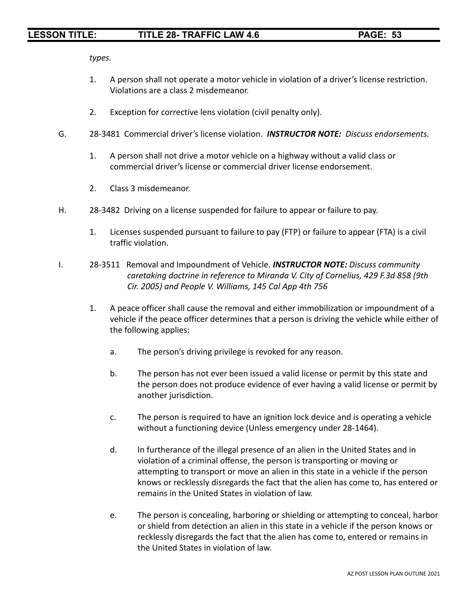*types.*

- 1. A person shall not operate a motor vehicle in violation of a driver's license restriction. Violations are a class 2 misdemeanor.
- 2. Exception for corrective lens violation (civil penalty only).
- G. 28-3481 Commercial driver's license violation. *INSTRUCTOR NOTE: Discuss endorsements.*
	- 1. A person shall not drive a motor vehicle on a highway without a valid class or commercial driver's license or commercial driver license endorsement.
	- 2. Class 3 misdemeanor.
- H. 28-3482 Driving on a license suspended for failure to appear or failure to pay.
	- 1. Licenses suspended pursuant to failure to pay (FTP) or failure to appear (FTA) is a civil traffic violation.
- I. 28-3511 Removal and Impoundment of Vehicle. *INSTRUCTOR NOTE: Discuss community caretaking doctrine in reference to Miranda V. City of Cornelius, 429 F.3d 858 (9th Cir. 2005) and People V. Williams, 145 Cal App 4th 756*
	- 1. A peace officer shall cause the removal and either immobilization or impoundment of a vehicle if the peace officer determines that a person is driving the vehicle while either of the following applies:
		- a. The person's driving privilege is revoked for any reason.
		- b. The person has not ever been issued a valid license or permit by this state and the person does not produce evidence of ever having a valid license or permit by another jurisdiction.
		- c. The person is required to have an ignition lock device and is operating a vehicle without a functioning device (Unless emergency under 28-1464).
		- d. In furtherance of the illegal presence of an alien in the United States and in violation of a criminal offense, the person is transporting or moving or attempting to transport or move an alien in this state in a vehicle if the person knows or recklessly disregards the fact that the alien has come to, has entered or remains in the United States in violation of law.
		- e. The person is concealing, harboring or shielding or attempting to conceal, harbor or shield from detection an alien in this state in a vehicle if the person knows or recklessly disregards the fact that the alien has come to, entered or remains in the United States in violation of law.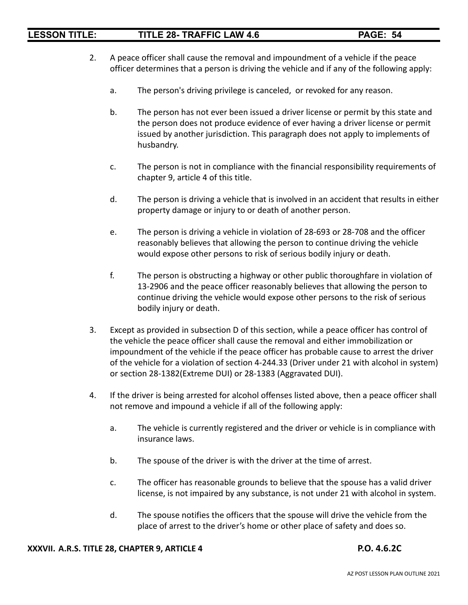- 2. A peace officer shall cause the removal and impoundment of a vehicle if the peace officer determines that a person is driving the vehicle and if any of the following apply:
	- a. The person's driving privilege is canceled, or revoked for any reason.
	- b. The person has not ever been issued a driver license or permit by this state and the person does not produce evidence of ever having a driver license or permit issued by another jurisdiction. This paragraph does not apply to implements of husbandry.
	- c. The person is not in compliance with the financial responsibility requirements of chapter 9, article 4 of this title.
	- d. The person is driving a vehicle that is involved in an accident that results in either property damage or injury to or death of another person.
	- e. The person is driving a vehicle in violation of 28-693 or 28-708 and the officer reasonably believes that allowing the person to continue driving the vehicle would expose other persons to risk of serious bodily injury or death.
	- f. The person is obstructing a highway or other public thoroughfare in violation of 13-2906 and the peace officer reasonably believes that allowing the person to continue driving the vehicle would expose other persons to the risk of serious bodily injury or death.
- 3. Except as provided in subsection D of this section, while a peace officer has control of the vehicle the peace officer shall cause the removal and either immobilization or impoundment of the vehicle if the peace officer has probable cause to arrest the driver of the vehicle for a violation of section 4-244.33 (Driver under 21 with alcohol in system) or section 28-1382(Extreme DUI) or 28-1383 (Aggravated DUI).
- 4. If the driver is being arrested for alcohol offenses listed above, then a peace officer shall not remove and impound a vehicle if all of the following apply:
	- a. The vehicle is currently registered and the driver or vehicle is in compliance with insurance laws.
	- b. The spouse of the driver is with the driver at the time of arrest.
	- c. The officer has reasonable grounds to believe that the spouse has a valid driver license, is not impaired by any substance, is not under 21 with alcohol in system.
	- d. The spouse notifies the officers that the spouse will drive the vehicle from the place of arrest to the driver's home or other place of safety and does so.

### **XXXVII. A.R.S. TITLE 28, CHAPTER 9, ARTICLE 4 P.O. 4.6.2C**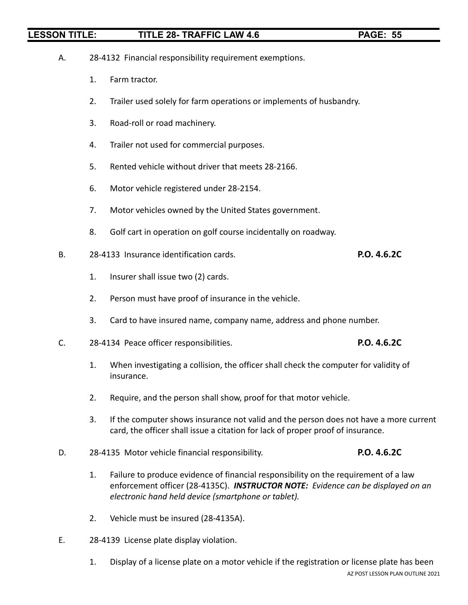|    | Α. | 28-4132 Financial responsibility requirement exemptions. |                                                                                                                                                                                                                                |             |  |
|----|----|----------------------------------------------------------|--------------------------------------------------------------------------------------------------------------------------------------------------------------------------------------------------------------------------------|-------------|--|
|    |    | 1.                                                       | Farm tractor.                                                                                                                                                                                                                  |             |  |
|    |    | 2.                                                       | Trailer used solely for farm operations or implements of husbandry.                                                                                                                                                            |             |  |
|    |    | 3.                                                       | Road-roll or road machinery.                                                                                                                                                                                                   |             |  |
|    |    | 4.                                                       | Trailer not used for commercial purposes.                                                                                                                                                                                      |             |  |
|    |    | 5.                                                       | Rented vehicle without driver that meets 28-2166.                                                                                                                                                                              |             |  |
|    |    | 6.                                                       | Motor vehicle registered under 28-2154.                                                                                                                                                                                        |             |  |
|    |    | 7.                                                       | Motor vehicles owned by the United States government.                                                                                                                                                                          |             |  |
|    |    | 8.                                                       | Golf cart in operation on golf course incidentally on roadway.                                                                                                                                                                 |             |  |
| В. |    |                                                          | 28-4133 Insurance identification cards.                                                                                                                                                                                        | P.O. 4.6.2C |  |
|    |    | 1.                                                       | Insurer shall issue two (2) cards.                                                                                                                                                                                             |             |  |
|    |    | 2.                                                       | Person must have proof of insurance in the vehicle.                                                                                                                                                                            |             |  |
|    |    | 3.                                                       | Card to have insured name, company name, address and phone number.                                                                                                                                                             |             |  |
|    | C. |                                                          | 28-4134 Peace officer responsibilities.                                                                                                                                                                                        | P.O. 4.6.2C |  |
|    |    | 1.                                                       | When investigating a collision, the officer shall check the computer for validity of<br>insurance.                                                                                                                             |             |  |
|    |    | 2.                                                       | Require, and the person shall show, proof for that motor vehicle.                                                                                                                                                              |             |  |
|    |    | 3.                                                       | If the computer shows insurance not valid and the person does not have a more current<br>card, the officer shall issue a citation for lack of proper proof of insurance.                                                       |             |  |
|    | D. |                                                          | 28-4135 Motor vehicle financial responsibility.                                                                                                                                                                                | P.O. 4.6.2C |  |
|    |    | 1.                                                       | Failure to produce evidence of financial responsibility on the requirement of a law<br>enforcement officer (28-4135C). INSTRUCTOR NOTE: Evidence can be displayed on an<br>electronic hand held device (smartphone or tablet). |             |  |

- 2. Vehicle must be insured (28-4135A).
- E. 28-4139 License plate display violation.
	- 1. Display of a license plate on a motor vehicle if the registration or license plate has been AZ POST LESSON PLAN OUTLINE 2021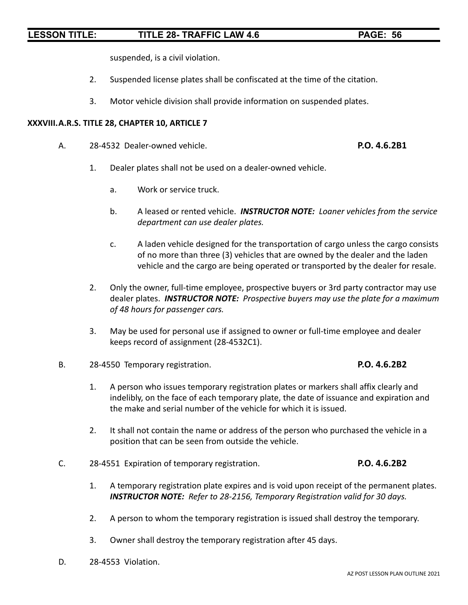suspended, is a civil violation.

- 2. Suspended license plates shall be confiscated at the time of the citation.
- 3. Motor vehicle division shall provide information on suspended plates.

### **XXXVIII.A.R.S. TITLE 28, CHAPTER 10, ARTICLE 7**

A. 28-4532 Dealer-owned vehicle. **P.O. 4.6.2B1**

- 1. Dealer plates shall not be used on a dealer-owned vehicle.
	- a. Work or service truck.
	- b. A leased or rented vehicle. *INSTRUCTOR NOTE: Loaner vehicles from the service department can use dealer plates.*
	- c. A laden vehicle designed for the transportation of cargo unless the cargo consists of no more than three (3) vehicles that are owned by the dealer and the laden vehicle and the cargo are being operated or transported by the dealer for resale.
- 2. Only the owner, full-time employee, prospective buyers or 3rd party contractor may use dealer plates. *INSTRUCTOR NOTE: Prospective buyers may use the plate for a maximum of 48 hours for passenger cars.*
- 3. May be used for personal use if assigned to owner or full-time employee and dealer keeps record of assignment (28-4532C1).
- B. 28-4550 Temporary registration. **P.O. 4.6.2B2**
	- 1. A person who issues temporary registration plates or markers shall affix clearly and indelibly, on the face of each temporary plate, the date of issuance and expiration and the make and serial number of the vehicle for which it is issued.
	- 2. It shall not contain the name or address of the person who purchased the vehicle in a position that can be seen from outside the vehicle.
- C. 28-4551 Expiration of temporary registration. **P.O. 4.6.2B2**
	- 1. A temporary registration plate expires and is void upon receipt of the permanent plates. *INSTRUCTOR NOTE: Refer to 28-2156, Temporary Registration valid for 30 days.*
	- 2. A person to whom the temporary registration is issued shall destroy the temporary.
	- 3. Owner shall destroy the temporary registration after 45 days.
- D. 28-4553 Violation.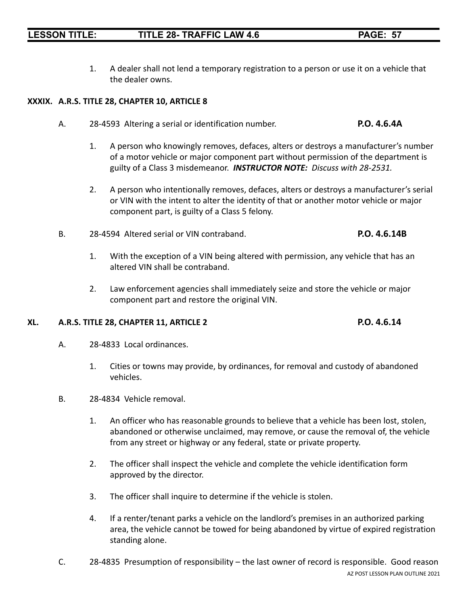1. A dealer shall not lend a temporary registration to a person or use it on a vehicle that the dealer owns.

### **XXXIX. A.R.S. TITLE 28, CHAPTER 10, ARTICLE 8**

- A. 28-4593 Altering a serial or identification number. **P.O. 4.6.4A**
	- 1. A person who knowingly removes, defaces, alters or destroys a manufacturer's number of a motor vehicle or major component part without permission of the department is guilty of a Class 3 misdemeanor. *INSTRUCTOR NOTE: Discuss with 28-2531.*
	- 2. A person who intentionally removes, defaces, alters or destroys a manufacturer's serial or VIN with the intent to alter the identity of that or another motor vehicle or major component part, is guilty of a Class 5 felony.
- B. 28-4594 Altered serial or VIN contraband. **P.O. 4.6.14B**
	- 1. With the exception of a VIN being altered with permission, any vehicle that has an altered VIN shall be contraband.
	- 2. Law enforcement agencies shall immediately seize and store the vehicle or major component part and restore the original VIN.

### **XL. A.R.S. TITLE 28, CHAPTER 11, ARTICLE 2 P.O. 4.6.14**

- A. 28-4833 Local ordinances.
	- 1. Cities or towns may provide, by ordinances, for removal and custody of abandoned vehicles.
- B. 28-4834 Vehicle removal.
	- 1. An officer who has reasonable grounds to believe that a vehicle has been lost, stolen, abandoned or otherwise unclaimed, may remove, or cause the removal of, the vehicle from any street or highway or any federal, state or private property.
	- 2. The officer shall inspect the vehicle and complete the vehicle identification form approved by the director.
	- 3. The officer shall inquire to determine if the vehicle is stolen.
	- 4. If a renter/tenant parks a vehicle on the landlord's premises in an authorized parking area, the vehicle cannot be towed for being abandoned by virtue of expired registration standing alone.
- C. 28-4835 Presumption of responsibility the last owner of record is responsible. Good reason AZ POST LESSON PLAN OUTLINE 2021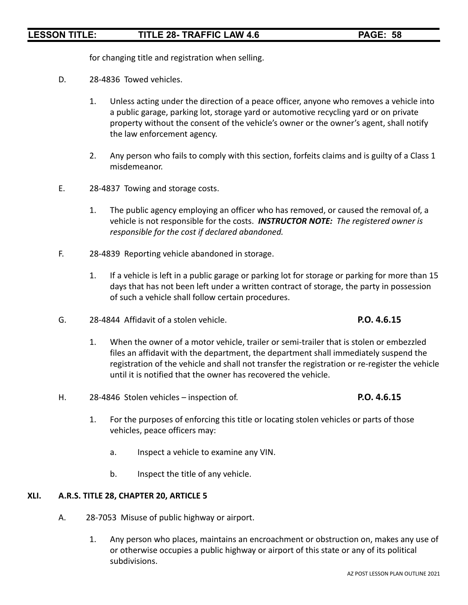for changing title and registration when selling.

- D. 28-4836 Towed vehicles.
	- 1. Unless acting under the direction of a peace officer, anyone who removes a vehicle into a public garage, parking lot, storage yard or automotive recycling yard or on private property without the consent of the vehicle's owner or the owner's agent, shall notify the law enforcement agency.
	- 2. Any person who fails to comply with this section, forfeits claims and is guilty of a Class 1 misdemeanor.
- E. 28-4837 Towing and storage costs.
	- 1. The public agency employing an officer who has removed, or caused the removal of, a vehicle is not responsible for the costs. *INSTRUCTOR NOTE: The registered owner is responsible for the cost if declared abandoned.*
- F. 28-4839 Reporting vehicle abandoned in storage.
	- 1. If a vehicle is left in a public garage or parking lot for storage or parking for more than 15 days that has not been left under a written contract of storage, the party in possession of such a vehicle shall follow certain procedures.
- G. 28-4844 Affidavit of a stolen vehicle. **P.O. 4.6.15**
	- 1. When the owner of a motor vehicle, trailer or semi-trailer that is stolen or embezzled files an affidavit with the department, the department shall immediately suspend the registration of the vehicle and shall not transfer the registration or re-register the vehicle until it is notified that the owner has recovered the vehicle.
- H. 28-4846 Stolen vehicles inspection of. **P.O. 4.6.15**

- 1. For the purposes of enforcing this title or locating stolen vehicles or parts of those vehicles, peace officers may:
	- a. Inspect a vehicle to examine any VIN.
	- b. Inspect the title of any vehicle.

### **XLI. A.R.S. TITLE 28, CHAPTER 20, ARTICLE 5**

- A. 28-7053 Misuse of public highway or airport.
	- 1. Any person who places, maintains an encroachment or obstruction on, makes any use of or otherwise occupies a public highway or airport of this state or any of its political subdivisions.